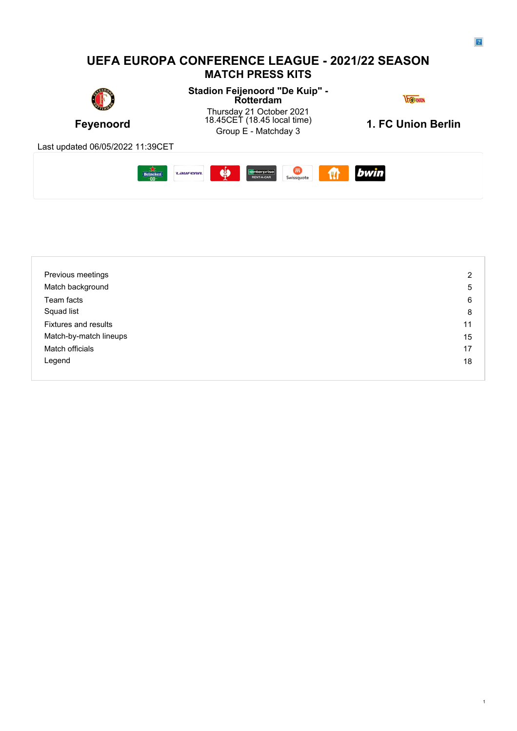

| Previous meetings      | 2  |
|------------------------|----|
| Match background       | 5  |
| Team facts             | 6  |
| Squad list             | 8  |
| Fixtures and results   | 11 |
| Match-by-match lineups | 15 |
| Match officials        | 17 |
| Legend                 | 18 |
|                        |    |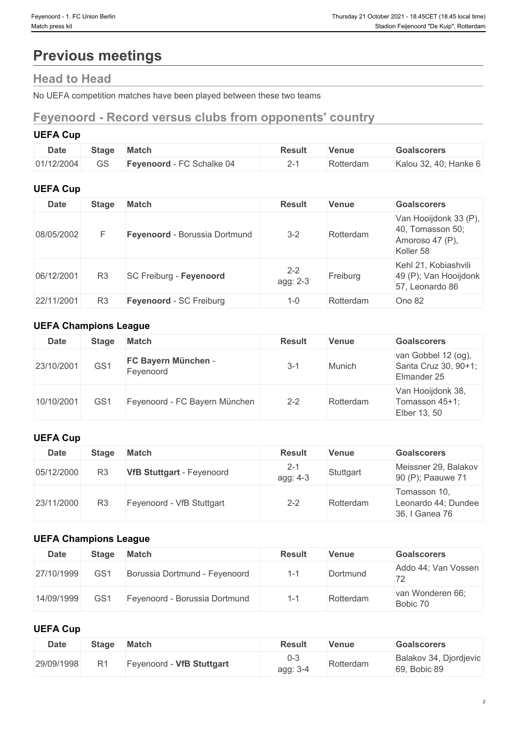# **Previous meetings**

# **Head to Head**

No UEFA competition matches have been played between these two teams

# **Feyenoord - Record versus clubs from opponents' country**

# **UEFA Cup**

| <b>Date</b> | <b>Stage</b> | Match                        | <b>Result</b> | <b>Venue</b> | Goalscorers           |
|-------------|--------------|------------------------------|---------------|--------------|-----------------------|
| 01/12/2004  | $\cap$<br>სა | - FC Schalke 04<br>Fevenoord | -             | Rotterdam    | Kalou 32, 40; Hanke 6 |

# **UEFA Cup**

| <b>Date</b> | <b>Stage</b>   | <b>Match</b>                   | <b>Result</b>       | <b>Venue</b> | <b>Goalscorers</b>                                                        |
|-------------|----------------|--------------------------------|---------------------|--------------|---------------------------------------------------------------------------|
| 08/05/2002  |                | Feyenoord - Borussia Dortmund  | $3 - 2$             | Rotterdam    | Van Hooijdonk 33 (P),<br>40, Tomasson 50;<br>Amoroso 47 (P),<br>Koller 58 |
| 06/12/2001  | R <sub>3</sub> | SC Freiburg - Feyenoord        | $2 - 2$<br>agg: 2-3 | Freiburg     | Kehl 21, Kobiashvili<br>49 (P); Van Hooijdonk<br>57, Leonardo 86          |
| 22/11/2001  | R <sub>3</sub> | <b>Feyenoord - SC Freiburg</b> | $1 - 0$             | Rotterdam    | Ono 82                                                                    |

# **UEFA Champions League**

| <b>Date</b> | <b>Stage</b>    | <b>Match</b>                     | <b>Result</b> | <b>Venue</b> | <b>Goalscorers</b>                                         |
|-------------|-----------------|----------------------------------|---------------|--------------|------------------------------------------------------------|
| 23/10/2001  | GS <sub>1</sub> | FC Bayern München -<br>Feyenoord | 3-1           | Munich       | van Gobbel 12 (og),<br>Santa Cruz 30, 90+1;<br>Elmander 25 |
| 10/10/2001  | GS <sup>1</sup> | Feyenoord - FC Bayern München    | $2 - 2$       | Rotterdam    | Van Hooijdonk 38,<br>Tomasson 45+1;<br>Elber 13, 50        |

# **UEFA Cup**

# **UEFA Champions League**

| <b>Date</b> | Stage           | Match                         | <b>Result</b> | Venue     | <b>Goalscorers</b>                              |
|-------------|-----------------|-------------------------------|---------------|-----------|-------------------------------------------------|
| 27/10/1999  | GS <sub>1</sub> | Borussia Dortmund - Feyenoord |               | Dortmund  | Addo 44; Van Vossen<br>$\overline{\phantom{a}}$ |
| 14/09/1999  | GS <sub>1</sub> | Feyenoord - Borussia Dortmund |               | Rotterdam | van Wonderen 66;<br>Bobic 70                    |

# **UEFA Cup**

| <b>Date</b> | <b>Stage</b>   | <b>Match</b>              | <b>Result</b>   | Venue     | <b>Goalscorers</b>                     |
|-------------|----------------|---------------------------|-----------------|-----------|----------------------------------------|
| 29/09/1998  | R <sub>1</sub> | Feyenoord - VfB Stuttgart | U-J<br>agg: 3-4 | Rotterdam | Balakov 34, Djordjevic<br>69, Bobic 89 |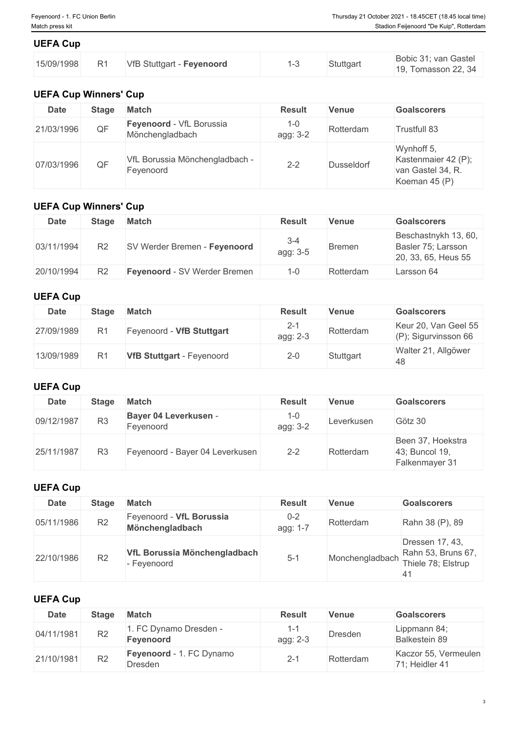| <b>UEFA Cup</b> |                |                           |  |           |                                             |  |  |
|-----------------|----------------|---------------------------|--|-----------|---------------------------------------------|--|--|
| 15/09/1998      | R <sub>1</sub> | VfB Stuttgart - Feyenoord |  | Stuttgart | Bobic 31; van Gastel<br>19, Tomasson 22, 34 |  |  |

# **UEFA Cup Winners' Cup**

| <b>Date</b> | Stage | <b>Match</b>                                | <b>Result</b>       | <b>Venue</b> | <b>Goalscorers</b>                                                      |
|-------------|-------|---------------------------------------------|---------------------|--------------|-------------------------------------------------------------------------|
| 21/03/1996  | QF    | Feyenoord - VfL Borussia<br>Mönchengladbach | $1 - 0$<br>agg: 3-2 | Rotterdam    | Trustfull 83                                                            |
| 07/03/1996  | QF    | VfL Borussia Mönchengladbach -<br>Fevenoord | $2 - 2$             | Dusseldorf   | Wynhoff 5,<br>Kastenmaier 42 (P);<br>van Gastel 34, R.<br>Koeman 45 (P) |

# **UEFA Cup Winners' Cup**

| <b>Date</b> | Stage          | Match                        | <b>Result</b>       | <b>Venue</b>  | <b>Goalscorers</b>                                                |
|-------------|----------------|------------------------------|---------------------|---------------|-------------------------------------------------------------------|
| 03/11/1994  | R <sub>2</sub> | SV Werder Bremen - Feyenoord | $3 - 4$<br>agg: 3-5 | <b>Bremen</b> | Beschastnykh 13, 60,<br>Basler 75; Larsson<br>20, 33, 65, Heus 55 |
| 20/10/1994  | R <sub>2</sub> | Feyenoord - SV Werder Bremen | $1 - 0$             | Rotterdam     | Larsson 64                                                        |

# **UEFA Cup**

| <b>Date</b> | Stage | <b>Match</b>                     | <b>Result</b>   | <b>Venue</b> | <b>Goalscorers</b>                              |
|-------------|-------|----------------------------------|-----------------|--------------|-------------------------------------------------|
| 27/09/1989  | $R^4$ | Feyenoord - VfB Stuttgart        | 2-1<br>agg: 2-3 | Rotterdam    | Keur 20, Van Geel 55<br>$(P)$ ; Sigurvinsson 66 |
| 13/09/1989  | $R^4$ | <b>VfB Stuttgart - Feyenoord</b> | 2-0             | Stuttgart    | Walter 21, Allgöwer<br>48                       |

# **UEFA Cup**

| <b>Date</b> | Stage          | <b>Match</b>                       | <b>Result</b>       | <b>Venue</b> | <b>Goalscorers</b>                                    |
|-------------|----------------|------------------------------------|---------------------|--------------|-------------------------------------------------------|
| 09/12/1987  | R <sub>3</sub> | Bayer 04 Leverkusen -<br>Fevenoord | $1 - 0$<br>agg: 3-2 | Leverkusen   | Götz 30                                               |
| 25/11/1987  | R <sub>3</sub> | Feyenoord - Bayer 04 Leverkusen    | $2 - 2$             | Rotterdam    | Been 37, Hoekstra<br>43; Buncol 19,<br>Falkenmayer 31 |

# **UEFA Cup**

| <b>Date</b> | Stage          | <b>Match</b>                                | <b>Result</b>       | <b>Venue</b>    | <b>Goalscorers</b>                                                |
|-------------|----------------|---------------------------------------------|---------------------|-----------------|-------------------------------------------------------------------|
| 05/11/1986  | R <sub>2</sub> | Feyenoord - VfL Borussia<br>Mönchengladbach | $0 - 2$<br>agg: 1-7 | Rotterdam       | Rahn 38 (P), 89                                                   |
| 22/10/1986  | R <sub>2</sub> | VfL Borussia Mönchengladbach<br>- Feyenoord | $5 - 1$             | Monchengladbach | Dressen 17, 43,<br>Rahn 53, Bruns 67,<br>Thiele 78; Elstrup<br>41 |

# **UEFA Cup**

| <b>Date</b> | Stage          | Match                               | <b>Result</b> | <b>Venue</b> | <b>Goalscorers</b>                     |
|-------------|----------------|-------------------------------------|---------------|--------------|----------------------------------------|
| 04/11/1981  | R <sub>2</sub> | . FC Dynamo Dresden -<br>Feyenoord  | agg: 2-3      | Dresden      | Lippmann 84;<br>Balkestein 89          |
| 21/10/1981  | R <sub>2</sub> | Feyenoord - 1. FC Dynamo<br>Dresden |               | Rotterdam    | Kaczor 55, Vermeulen<br>71; Heidler 41 |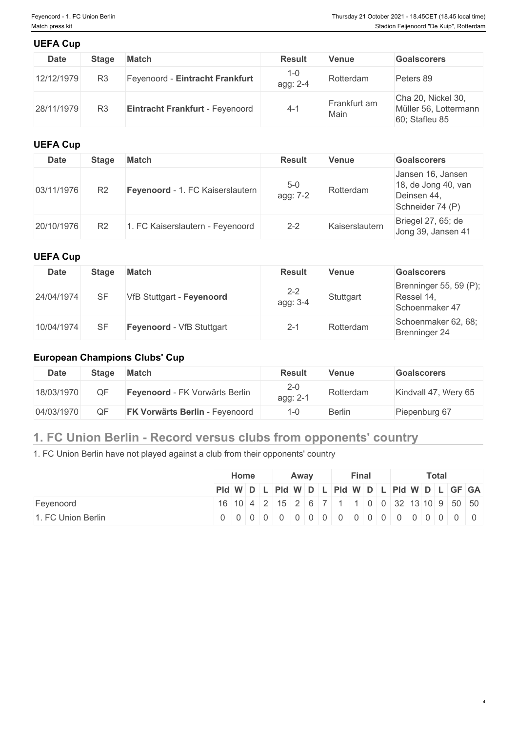| <b>UEFA Cup</b> |                |                                 |                     |                      |                                                               |
|-----------------|----------------|---------------------------------|---------------------|----------------------|---------------------------------------------------------------|
| <b>Date</b>     | <b>Stage</b>   | <b>Match</b>                    | <b>Result</b>       | <b>Venue</b>         | <b>Goalscorers</b>                                            |
| 12/12/1979      | R <sub>3</sub> | Feyenoord - Eintracht Frankfurt | $1 - 0$<br>agg: 2-4 | Rotterdam            | Peters 89                                                     |
| 28/11/1979      | R <sub>3</sub> | Eintracht Frankfurt - Feyenoord | -4-1                | Frankfurt am<br>Main | Cha 20, Nickel 30,<br>Müller 56, Lottermann<br>60; Stafleu 85 |

# **UEFA Cup**

| <b>Date</b> | Stage          | <b>Match</b>                     | <b>Result</b>     | <b>Venue</b>   | <b>Goalscorers</b>                                                          |
|-------------|----------------|----------------------------------|-------------------|----------------|-----------------------------------------------------------------------------|
| 03/11/1976  | R <sub>2</sub> | Feyenoord - 1. FC Kaiserslautern | $5-0$<br>agg: 7-2 | Rotterdam      | Jansen 16, Jansen<br>18, de Jong 40, van<br>Deinsen 44,<br>Schneider 74 (P) |
| 20/10/1976  | R <sub>2</sub> | . FC Kaiserslautern - Feyenoord  | $2 - 2$           | Kaiserslautern | Briegel 27, 65; de<br>Jong 39, Jansen 41                                    |

# **UEFA Cup**

| <b>Date</b> | Stage | <b>Match</b>              | <b>Result</b>       | <b>Venue</b> | <b>Goalscorers</b>                                     |
|-------------|-------|---------------------------|---------------------|--------------|--------------------------------------------------------|
| 24/04/1974  | SF    | VfB Stuttgart - Feyenoord | $2 - 2$<br>agg: 3-4 | Stuttgart    | Brenninger 55, 59 (P);<br>Ressel 14,<br>Schoenmaker 47 |
| 10/04/1974  | SF    | Feyenoord - VfB Stuttgart | 2-1                 | Rotterdam    | Schoenmaker 62, 68;<br>Brenninger 24                   |

# **European Champions Clubs' Cup**

| <b>Date</b> | <b>Stage</b> | <b>Match</b>                          | <b>Result</b>       | <b>Venue</b> | Goalscorers          |
|-------------|--------------|---------------------------------------|---------------------|--------------|----------------------|
| 18/03/1970  | QF           | Feyenoord - FK Vorwärts Berlin        | $2 - 0$<br>agg: 2-1 | Rotterdam    | Kindvall 47, Wery 65 |
| 04/03/1970  | QF           | <b>FK Vorwärts Berlin - Feyenoord</b> |                     | Berlin       | Piepenburg 67        |

# **1. FC Union Berlin - Record versus clubs from opponents' country**

1. FC Union Berlin have not played against a club from their opponents' country

|                    |                                                                               | <b>Home</b><br>Away |  |  |  |  |  | <b>Total</b><br><b>Final</b> |  |  |  |  |  |  |  |  |
|--------------------|-------------------------------------------------------------------------------|---------------------|--|--|--|--|--|------------------------------|--|--|--|--|--|--|--|--|
|                    | Pid W D L Pid W D L Pid W D L Pid W D L GF GA                                 |                     |  |  |  |  |  |                              |  |  |  |  |  |  |  |  |
| Feyenoord          | 16   10   4   2   15   2   6   7   1   1   0   0   32   13   10   9   50   50 |                     |  |  |  |  |  |                              |  |  |  |  |  |  |  |  |
| 1. FC Union Berlin |                                                                               |                     |  |  |  |  |  |                              |  |  |  |  |  |  |  |  |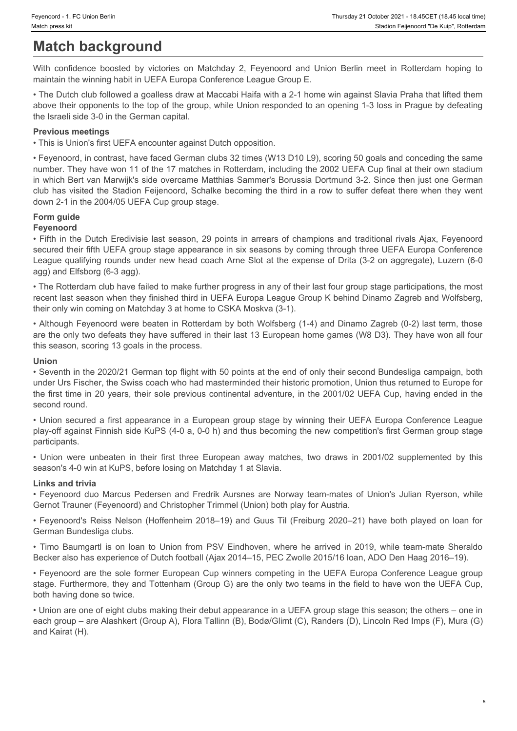# **Match background**

maintain the winning habit in UEFA Europa Conference League Group E.

Feyenoord - 1. FC Union Berlin<br>Match press kit<br>Mith confidence boosted by victories on Matchday 2, Feyenoord and Union Berlin meet in Rotterdam hoping to<br>Mith confidence boosted by victories on Matchday 2, Feyenoord and Un • The Dutch club followed a goalless draw at Maccabi Haifa with a 2-1 home win against Slavia Praha that lifted them above their opponents to the top of the group, while Union responded to an opening 1-3 loss in Prague by defeating the Israeli side 3-0 in the German capital.

#### **Previous meetings**

• This is Union's first UEFA encounter against Dutch opposition.

• Feyenoord, in contrast, have faced German clubs 32 times (W13 D10 L9), scoring 50 goals and conceding the same number. They have won 11 of the 17 matches in Rotterdam, including the 2002 UEFA Cup final at their own stadium in which Bert van Marwijk's side overcame Matthias Sammer's Borussia Dortmund 3-2. Since then just one German club has visited the Stadion Feijenoord, Schalke becoming the third in a row to suffer defeat there when they went down 2-1 in the 2004/05 UEFA Cup group stage. **Match background Match background** in their distinction of their states in the methanic contents in the contents in the computer of the methanic methanic methanic methanic methanic methanic methanic methanic methanic m munities for the team-mates of the European and Fredrican and Fredrican and Fredrican and Fredrican and Fredrican and Fredrican and Fredrican and Fredrican and Fredrican and Fredrican and Fredrican and Fredrican and Fredr **Province meetings until the Sheraldo Math opposition.**<br>This is union for statistical to the second central clubs 22 trees (V13 D10 UP), scoring 60 goals and conceding the same<br>
• Figure occur, in contrast, here fores Germ

### **Form guide**

#### **Feyenoord**

• Fifth in the Dutch Eredivisie last season, 29 points in arrears of champions and traditional rivals Ajax, Feyenoord secured their fifth UEFA group stage appearance in six seasons by coming through three UEFA Europa Conference League qualifying rounds under new head coach Arne Slot at the expense of Drita (3-2 on aggregate), Luzern (6-0 agg) and Elfsborg (6-3 agg).

• The Rotterdam club have failed to make further progress in any of their last four group stage participations, the most recent last season when they finished third in UEFA Europa League Group K behind Dinamo Zagreb and Wolfsberg, their only win coming on Matchday 3 at home to CSKA Moskva (3-1).

• Although Feyenoord were beaten in Rotterdam by both Wolfsberg (1-4) and Dinamo Zagreb (0-2) last term, those are the only two defeats they have suffered in their last 13 European home games (W8 D3). They have won all four this season, scoring 13 goals in the process.

#### **Union**

• Seventh in the 2020/21 German top flight with 50 points at the end of only their second Bundesliga campaign, both under Urs Fischer, the Swiss coach who had masterminded their historic promotion, Union thus returned to Europe for the first time in 20 years, their sole previous continental adventure, in the 2001/02 UEFA Cup, having ended in the second round.

• Union secured a first appearance in a European group stage by winning their UEFA Europa Conference League play-off against Finnish side KuPS (4-0 a, 0-0 h) and thus becoming the new competition's first German group stage participants.

season's 4-0 win at KuPS, before losing on Matchday 1 at Slavia.

#### **Links and trivia**

Gernot Trauner (Feyenoord) and Christopher Trimmel (Union) both play for Austria.

• Feyenoord's Reiss Nelson (Hoffenheim 2018–19) and Guus Til (Freiburg 2020–21) have both played on loan for German Bundesliga clubs.

Becker also has experience of Dutch football (Ajax 2014–15, PEC Zwolle 2015/16 loan, ADO Den Haag 2016–19).

• Feyenoord are the sole former European Cup winners competing in the UEFA Europa Conference League group stage. Furthermore, they and Tottenham (Group G) are the only two teams in the field to have won the UEFA Cup, both having done so twice.

• Union are one of eight clubs making their debut appearance in a UEFA group stage this season; the others – one in each group – are Alashkert (Group A), Flora Tallinn (B), Bodø/Glimt (C), Randers (D), Lincoln Red Imps (F), Mura (G) and Kairat (H).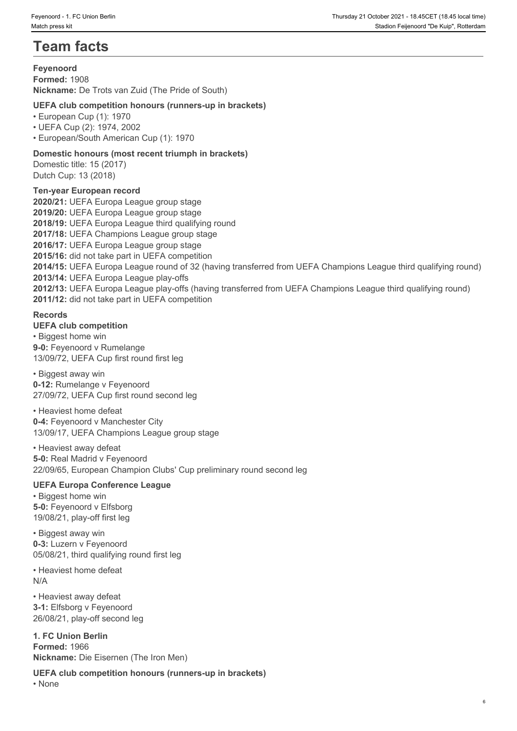# **Team facts**

### **Feyenoord**

**Formed:** 1908 **Nickname:** De Trots van Zuid (The Pride of South)

# **UEFA club competition honours (runners-up in brackets)**

• European Cup (1): 1970

• UEFA Cup (2): 1974, 2002

• European/South American Cup (1): 1970

### **Domestic honours (most recent triumph in brackets)**

Domestic title: 15 (2017) Dutch Cup: 13 (2018)

### **Ten-year European record**

**2020/21:** UEFA Europa League group stage **2019/20:** UEFA Europa League group stage **2018/19:** UEFA Europa League third qualifying round **2017/18:** UEFA Champions League group stage **2016/17:** UEFA Europa League group stage **2015/16:** did not take part in UEFA competition **2014/15:** UEFA Europa League round of 32 (having transferred from UEFA Champions League third qualifying round) **2013/14:** UEFA Europa League play-offs **2012/13:** UEFA Europa League play-offs (having transferred from UEFA Champions League third qualifying round) **2011/12:** did not take part in UEFA competition

# **Records**

**UEFA club competition**

• Biggest home win **9-0:** Feyenoord v Rumelange 13/09/72, UEFA Cup first round first leg

#### • Biggest away win

**0-12:** Rumelange v Feyenoord 27/09/72, UEFA Cup first round second leg

• Heaviest home defeat **0-4:** Feyenoord v Manchester City

13/09/17, UEFA Champions League group stage

#### • Heaviest away defeat

**5-0:** Real Madrid v Feyenoord 22/09/65, European Champion Clubs' Cup preliminary round second leg

#### **UEFA Europa Conference League**

• Biggest home win **5-0:** Feyenoord v Elfsborg 19/08/21, play-off first leg

• Biggest away win **0-3:** Luzern v Feyenoord 05/08/21, third qualifying round first leg

• Heaviest home defeat N/A

• Heaviest away defeat **3-1:** Elfsborg v Feyenoord 26/08/21, play-off second leg

**1. FC Union Berlin Formed:** 1966 **Nickname:** Die Eisernen (The Iron Men)

**UEFA club competition honours (runners-up in brackets)** • None **blue** and **blue** and **blue** and **blue** and **blue** and **blue** and **blue** and **blue** and **blue** and **blue** and **blue** and **blue** and **blue** and **blue** and **blue** and **blue** and **blue** and **blue** and **blue** and **blue**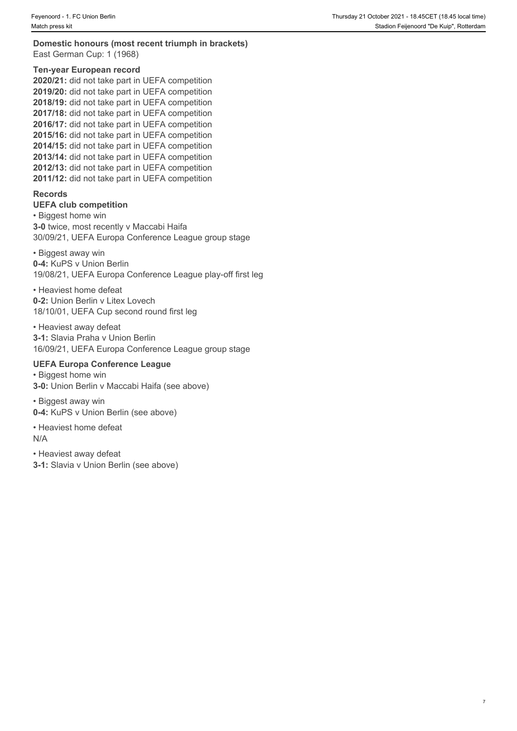#### **Domestic honours (most recent triumph in brackets)** East German Cup: 1 (1968)

#### **Ten-year European record**

**2020/21:** did not take part in UEFA competition **2019/20:** did not take part in UEFA competition **2018/19:** did not take part in UEFA competition **2017/18:** did not take part in UEFA competition **2016/17:** did not take part in UEFA competition **2015/16:** did not take part in UEFA competition **2014/15:** did not take part in UEFA competition **2013/14:** did not take part in UEFA competition **2012/13:** did not take part in UEFA competition **2011/12:** did not take part in UEFA competition

#### **Records**

#### **UEFA club competition**

• Biggest home win **3-0** twice, most recently v Maccabi Haifa 30/09/21, UEFA Europa Conference League group stage

• Biggest away win **0-4:** KuPS v Union Berlin

19/08/21, UEFA Europa Conference League play-off first leg

• Heaviest home defeat **0-2:** Union Berlin v Litex Lovech 18/10/01, UEFA Cup second round first leg

# • Heaviest away defeat

**3-1:** Slavia Praha v Union Berlin 16/09/21, UEFA Europa Conference League group stage

### **UEFA Europa Conference League**

• Biggest home win **3-0:** Union Berlin v Maccabi Haifa (see above)

• Biggest away win **0-4:** KuPS v Union Berlin (see above)

• Heaviest home defeat N/A

• Heaviest away defeat

**3-1:** Slavia v Union Berlin (see above)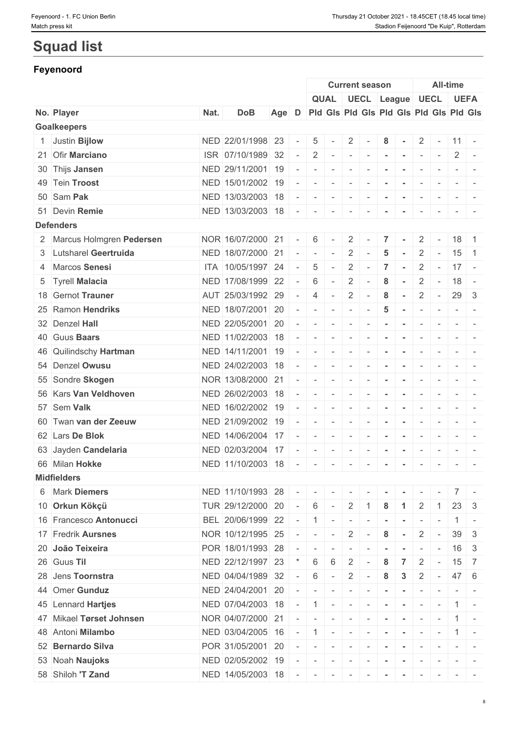# **Squad list**

# **Feyenoord**

|                            |      |                   |       |        |                          |                          |                          | <b>Current season</b>      |                |                          |                          |                          | <b>All-time</b>          |                                                                                                                           |
|----------------------------|------|-------------------|-------|--------|--------------------------|--------------------------|--------------------------|----------------------------|----------------|--------------------------|--------------------------|--------------------------|--------------------------|---------------------------------------------------------------------------------------------------------------------------|
|                            |      |                   |       |        |                          |                          |                          | QUAL UECL League UECL UEFA |                |                          |                          |                          |                          |                                                                                                                           |
| No. Player                 | Nat. | <b>DoB</b>        | Age D |        |                          |                          |                          |                            |                |                          |                          |                          |                          | Pid Gis Pid Gis Pid Gis Pid Gis Pid Gis                                                                                   |
| <b>Goalkeepers</b>         |      |                   |       |        |                          |                          |                          |                            |                |                          |                          |                          |                          |                                                                                                                           |
| 1 Justin Bijlow            |      | NED 22/01/1998 23 |       |        | 5                        |                          | $\overline{2}$           |                            | 8              |                          |                          | $2$ -                    | $11 -$                   |                                                                                                                           |
| 21 Ofir Marciano           |      | ISR 07/10/1989 32 |       |        | 2                        | $\sim$                   | $\sim$                   | $\sim$                     | $\blacksquare$ | $\sim$                   | $\sim$                   | $\sim$                   | 2                        | $\sim$                                                                                                                    |
| 30 Thijs Jansen            |      | NED 29/11/2001 19 |       |        | $\overline{\phantom{a}}$ |                          | $\sim$                   |                            |                |                          |                          |                          |                          |                                                                                                                           |
| 49 Tein Troost             |      | NED 15/01/2002 19 |       |        | $\sim$                   | $\overline{\phantom{a}}$ | $\sim$                   | $\sim$                     | $\sim$         | $\sim$                   | $\overline{\phantom{a}}$ | $\sim$                   | $-1$                     |                                                                                                                           |
| 50 Sam Pak                 |      | NED 13/03/2003 18 |       |        |                          | $\overline{\phantom{a}}$ | $\sim$                   | $\overline{\phantom{a}}$   | $\sim$         | $\sim$                   | $\sim$                   | $\sim$                   |                          | $\sim$ 100 $\sim$                                                                                                         |
| 51 Devin Remie             |      | NED 13/03/2003 18 |       |        | $\overline{\phantom{a}}$ | $\overline{\phantom{a}}$ | $\overline{\phantom{a}}$ |                            |                |                          | $\overline{\phantom{a}}$ |                          | $-$                      |                                                                                                                           |
| <b>Defenders</b>           |      |                   |       |        |                          |                          |                          |                            |                |                          |                          |                          |                          |                                                                                                                           |
| 2 Marcus Holmgren Pedersen |      | NOR 16/07/2000 21 |       |        | 6                        |                          | $\overline{2}$           | $\overline{\phantom{a}}$   | $\overline{7}$ |                          | $\overline{2}$           | $\sim$                   | $18$ 1                   |                                                                                                                           |
| 3 Lutsharel Geertruida     |      | NED 18/07/2000 21 |       |        | $\overline{a}$           | $\sim$                   | $\overline{2}$           |                            | 5              |                          | $\overline{2}$           | $\sim$                   | 15                       | $\blacksquare$ 1                                                                                                          |
| 4 Marcos Senesi            |      | ITA 10/05/1997 24 |       |        | 5                        | $\overline{\phantom{a}}$ | $\overline{2}$           |                            | $\overline{7}$ | $\sim$                   | $\overline{2}$           | $\sim$                   | $17 -$                   |                                                                                                                           |
| 5 Tyrell Malacia           |      | NED 17/08/1999 22 |       |        | 6                        | $\sim$                   | $\overline{2}$           |                            | 8              | $\sim$                   | $\overline{2}$           | $\sim$                   | $18 -$                   |                                                                                                                           |
| 18 Gernot Trauner          |      | AUT 25/03/1992 29 |       |        | $\overline{4}$           | $\sim$                   | 2                        | $\overline{\phantom{a}}$   | 8              | $\sim$                   | $\overline{2}$           | $\sim$                   | $29 \mid 3$              |                                                                                                                           |
| 25 Ramon Hendriks          |      | NED 18/07/2001 20 |       | $\sim$ | $\overline{\phantom{a}}$ | $\sim$                   | $\overline{\phantom{a}}$ |                            | 5              | $\sim$                   | $\overline{\phantom{a}}$ | $\overline{\phantom{a}}$ |                          | $\frac{1}{2} \left( \frac{1}{2} \right) \left( \frac{1}{2} \right) = \frac{1}{2} \left( \frac{1}{2} \right)$              |
| 32 Denzel Hall             |      | NED 22/05/2001 20 |       |        | $\overline{\phantom{a}}$ | $\sim$                   | $\sim$                   | $\sim$                     | $\sim$         | $\sim$                   | $\sim$                   | $\sim$                   |                          | $\sim$ 100 $\sim$                                                                                                         |
| 40 Guus Baars              |      | NED 11/02/2003 18 |       |        | $\overline{\phantom{a}}$ | $\sim$                   | $\overline{\phantom{a}}$ |                            |                |                          | $\overline{\phantom{a}}$ | $\overline{\phantom{a}}$ | $-1$                     |                                                                                                                           |
| 46 Quilindschy Hartman     |      | NED 14/11/2001 19 |       |        | $\overline{\phantom{a}}$ |                          | $\overline{\phantom{a}}$ |                            |                |                          | $\sim$                   |                          | $ -$                     |                                                                                                                           |
| 54 Denzel Owusu            |      | NED 24/02/2003 18 |       |        | $\overline{\phantom{a}}$ | $\sim$                   | $\sim$                   | $\overline{\phantom{a}}$   | $\blacksquare$ | $\overline{\phantom{a}}$ | $\overline{\phantom{a}}$ | $\sim$                   |                          |                                                                                                                           |
| 55 Sondre Skogen           |      | NOR 13/08/2000 21 |       |        | $\sim$                   | $\overline{\phantom{a}}$ | $\sim$                   | $\sim$                     | $\blacksquare$ | $\sim$                   | $\sim$                   | $\sim$                   |                          | $\frac{1}{2} \left( \frac{1}{2} \right) \left( \frac{1}{2} \right) \left( \frac{1}{2} \right) \left( \frac{1}{2} \right)$ |
| 56 Kars Van Veldhoven      |      | NED 26/02/2003 18 |       |        | $\overline{\phantom{a}}$ |                          | $\overline{\phantom{a}}$ |                            |                |                          |                          |                          |                          | $\frac{1}{2} \left( \frac{1}{2} \right) \left( \frac{1}{2} \right) \left( \frac{1}{2} \right) \left( \frac{1}{2} \right)$ |
| 57 Sem Valk                |      | NED 16/02/2002 19 |       |        | $\overline{\phantom{a}}$ | $\overline{\phantom{a}}$ | $\overline{\phantom{a}}$ |                            | $\blacksquare$ | $\sim$                   | $\overline{\phantom{a}}$ | $\overline{\phantom{a}}$ | $\overline{\phantom{a}}$ | $\sim$                                                                                                                    |
| 60 Twan van der Zeeuw      |      | NED 21/09/2002 19 |       |        | $\overline{\phantom{a}}$ | $\sim$                   | $\sim$                   | $\sim$                     | $\blacksquare$ | $\sim$                   | $\overline{\phantom{a}}$ | $\sim$                   |                          | $\frac{1}{2} \left( \frac{1}{2} \right) \left( \frac{1}{2} \right) \left( \frac{1}{2} \right) \left( \frac{1}{2} \right)$ |
| 62 Lars De Blok            |      | NED 14/06/2004 17 |       |        | $\overline{\phantom{a}}$ | $\overline{\phantom{a}}$ | $\sim$                   |                            |                |                          | $\overline{\phantom{a}}$ | $\overline{\phantom{a}}$ |                          | $\frac{1}{2} \left( \frac{1}{2} \right) \left( \frac{1}{2} \right) \left( \frac{1}{2} \right) \left( \frac{1}{2} \right)$ |
| 63 Jayden Candelaria       |      | NED 02/03/2004 17 |       |        | $\overline{\phantom{a}}$ |                          | $\overline{\phantom{a}}$ |                            |                |                          |                          | $\overline{\phantom{a}}$ | $\sim$                   | $\sim$                                                                                                                    |
| 66 Milan Hokke             |      | NED 11/10/2003 18 |       |        | $\sim$                   | $\sim$                   | $\sim$                   | $\sim$                     | $\sim$         | $\sim$                   | $\sim$                   | $\overline{\phantom{a}}$ |                          | $\frac{1}{2} \left( \frac{1}{2} \right) \left( \frac{1}{2} \right) = \frac{1}{2}$                                         |
| <b>Midfielders</b>         |      |                   |       |        |                          |                          |                          |                            |                |                          |                          |                          |                          |                                                                                                                           |
| 6 Mark Diemers             |      | NED 11/10/1993 28 |       |        | $\overline{\phantom{a}}$ |                          |                          |                            |                |                          |                          |                          |                          |                                                                                                                           |
| 10 Orkun Kökçü             |      | TUR 29/12/2000 20 |       |        | 6                        |                          | $\overline{2}$           |                            | 8              |                          | $\overline{2}$           |                          | 23                       | -3                                                                                                                        |
| 16 Francesco Antonucci     |      |                   |       |        |                          | $\sim$                   |                          |                            |                |                          |                          |                          |                          |                                                                                                                           |
|                            |      | BEL 20/06/1999 22 |       |        |                          | $\overline{\phantom{a}}$ | $\sim$                   | $\overline{\phantom{a}}$   |                |                          | $\overline{\phantom{a}}$ |                          |                          | $\sim$                                                                                                                    |
| 17 Fredrik Aursnes         |      | NOR 10/12/1995 25 |       |        | $\overline{\phantom{a}}$ | $\overline{\phantom{a}}$ | 2                        |                            | 8              | $\sim$                   | $\overline{2}$           | $\sim$ $-$               | 39                       | 3                                                                                                                         |
| 20 João Teixeira           |      | POR 18/01/1993 28 |       |        | $\overline{\phantom{a}}$ | $\overline{\phantom{a}}$ | $\overline{\phantom{a}}$ |                            |                |                          | $\sim$                   | $\sim$                   | 16                       | -3                                                                                                                        |
| 26 Guus Til                |      | NED 22/12/1997 23 |       |        | 6                        | 6                        | 2                        |                            | 8              |                          | 2                        |                          |                          | $15 \overline{\smash{\big)}\ 7}$                                                                                          |
| 28 Jens Toornstra          |      | NED 04/04/1989 32 |       |        | 6                        | $\overline{\phantom{a}}$ | $\overline{2}$           | $\sim$                     | 8              | 3                        | $\overline{2}$           | $\sim$ $-$               | $47 \quad 6$             |                                                                                                                           |
| 44 Omer Gunduz             |      | NED 24/04/2001 20 |       |        |                          |                          | $\overline{\phantom{a}}$ |                            |                |                          |                          |                          |                          |                                                                                                                           |
| 45 Lennard Hartjes         |      | NED 07/04/2003 18 |       |        | $\mathbf{1}$             | $\sim$                   | $\sim$                   | $\sim$                     | $\blacksquare$ | $\sim$                   | $\overline{\phantom{a}}$ |                          |                          |                                                                                                                           |
| 47 Mikael Tørset Johnsen   |      | NOR 04/07/2000 21 |       |        |                          | $\overline{\phantom{a}}$ | $\sim$                   |                            |                | $\sim$                   | $\sim$                   | $\sim$                   |                          | $1 -$                                                                                                                     |
| 48 Antoni Milambo          |      | NED 03/04/2005 16 |       |        | $\overline{1}$           | $\overline{\phantom{a}}$ | $\overline{\phantom{a}}$ |                            |                |                          |                          |                          |                          |                                                                                                                           |
| 52 Bernardo Silva          |      | POR 31/05/2001 20 |       |        | $\sim$                   | $\sim$                   | $\sim$                   |                            | $\blacksquare$ | $\sim$                   | $\overline{\phantom{a}}$ | $\overline{\phantom{a}}$ | $-$                      |                                                                                                                           |
| 53 Noah Naujoks            |      | NED 02/05/2002 19 |       |        | $\overline{\phantom{a}}$ | $\sim$                   | $\sim$                   | $\overline{\phantom{a}}$   |                | $\sim$                   | $\sim$                   | $\sim$                   |                          |                                                                                                                           |
| 58 Shiloh 'T Zand          |      | NED 14/05/2003 18 |       |        |                          | $\sim$                   | $\sim$                   | $\sim$                     | $\sim$         | $\sim$                   | $\sim$                   | $\sim$                   |                          | $-1$ $-$                                                                                                                  |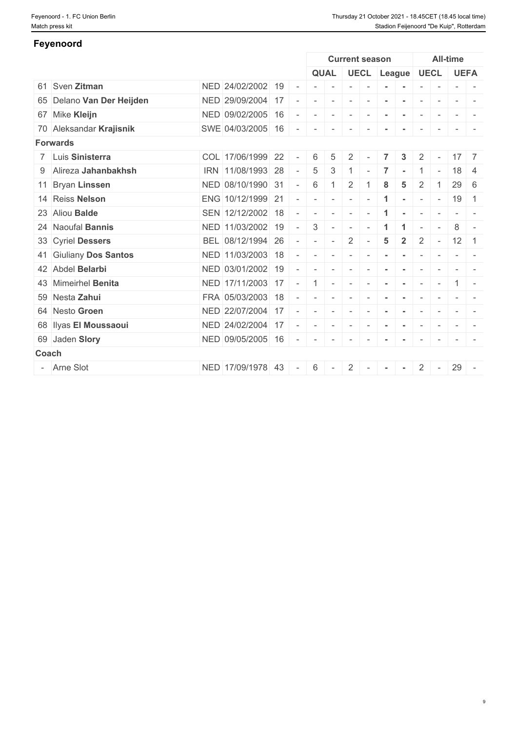| Feyenoord                 |                   |                          |                          |                          |                          |                          |                |                      |                          |                          |                          |                                                                                                                           |
|---------------------------|-------------------|--------------------------|--------------------------|--------------------------|--------------------------|--------------------------|----------------|----------------------|--------------------------|--------------------------|--------------------------|---------------------------------------------------------------------------------------------------------------------------|
|                           |                   |                          |                          |                          | <b>Current season</b>    |                          |                |                      |                          |                          | <b>All-time</b>          |                                                                                                                           |
|                           |                   |                          |                          | <b>QUAL</b>              |                          |                          |                |                      | UECL League UECL         |                          |                          | <b>UEFA</b>                                                                                                               |
| 61 Sven Zitman            | NED 24/02/2002 19 | $\sim$                   |                          |                          |                          |                          |                |                      |                          |                          | $\overline{\phantom{a}}$ | $\overline{\phantom{a}}$                                                                                                  |
| 65 Delano Van Der Heijden | NED 29/09/2004 17 |                          |                          | $\overline{\phantom{a}}$ | $\overline{\phantom{a}}$ |                          |                |                      | $\overline{\phantom{a}}$ |                          |                          |                                                                                                                           |
| 67 Mike Kleijn            | NED 09/02/2005 16 | $\overline{\phantom{a}}$ |                          | $\overline{\phantom{a}}$ | $\sim$                   |                          |                |                      | $\overline{\phantom{a}}$ | $\sim$                   | $\sim$                   |                                                                                                                           |
| 70 Aleksandar Krajisnik   | SWE 04/03/2005 16 | $\sim$                   | $\sim$                   | $\sim$                   | $\sim$                   | $\sim$                   |                |                      | $\overline{\phantom{a}}$ | $\sim$                   |                          | $\frac{1}{2} \left( \frac{1}{2} \right) \left( \frac{1}{2} \right) \left( \frac{1}{2} \right) \left( \frac{1}{2} \right)$ |
| <b>Forwards</b>           |                   |                          |                          |                          |                          |                          |                |                      |                          |                          |                          |                                                                                                                           |
| 7 Luis Sinisterra         | COL 17/06/1999 22 | $\sim$                   | 6                        | 5                        | 2                        |                          |                | 3                    | $\overline{2}$           |                          | 17                       | $\overline{7}$                                                                                                            |
| 9 Alireza Jahanbakhsh     | IRN 11/08/1993 28 | $\overline{\phantom{a}}$ | 5                        | 3                        |                          |                          |                |                      |                          | $\overline{\phantom{a}}$ | 18                       | -4                                                                                                                        |
| 11 Bryan Linssen          | NED 08/10/1990 31 | $\overline{\phantom{a}}$ | 6                        |                          | $\overline{2}$           |                          |                | 5                    | 2                        |                          | 29                       | 6                                                                                                                         |
| 14 Reiss Nelson           | ENG 10/12/1999 21 |                          |                          | $\overline{\phantom{a}}$ | $\sim$                   |                          | -1             | $\sim$               | $\sim$                   | $\sim$                   | 19                       | $\overline{1}$                                                                                                            |
| 23 Aliou Balde            | SEN 12/12/2002 18 | $\overline{\phantom{a}}$ |                          | $\sim$                   | $\sim$                   |                          |                |                      | $\overline{\phantom{a}}$ |                          | $\sim$                   |                                                                                                                           |
| 24 Naoufal Bannis         | NED 11/03/2002 19 | $\sim$                   | 3                        | $\sim$                   | $\sim$                   | $\overline{\phantom{a}}$ |                | $\blacktriangleleft$ | $\sim$                   | $\overline{\phantom{a}}$ | 8                        | $\sim$                                                                                                                    |
| 33 Cyriel Dessers         | BEL 08/12/1994 26 | $\overline{\phantom{a}}$ |                          | $\overline{\phantom{a}}$ | $\overline{2}$           |                          | $5\phantom{1}$ | $\overline{2}$       | $\overline{2}$           | $\sim$                   | $12 \mid 1$              |                                                                                                                           |
| 41 Giuliany Dos Santos    | NED 11/03/2003 18 | $\overline{\phantom{a}}$ | $\overline{\phantom{a}}$ | $\overline{\phantom{a}}$ | $\sim$                   |                          |                | $\sim$               | $\sim$                   | $\sim$                   | $\overline{\phantom{a}}$ |                                                                                                                           |
| 42 Abdel Belarbi          | NED 03/01/2002 19 |                          |                          | $\sim$                   | $\overline{\phantom{a}}$ |                          |                |                      |                          |                          |                          |                                                                                                                           |
| 43 Mimeirhel Benita       | NED 17/11/2003 17 | $\overline{\phantom{a}}$ |                          | $\overline{\phantom{a}}$ | $\overline{\phantom{a}}$ |                          |                |                      | $\sim$                   | $\overline{\phantom{a}}$ |                          |                                                                                                                           |
| 59 Nesta Zahui            | FRA 05/03/2003 18 | $\overline{\phantom{a}}$ | $\sim$                   | $\overline{\phantom{a}}$ | $\sim$                   |                          |                |                      |                          |                          |                          |                                                                                                                           |
| 64 Nesto Groen            | NED 22/07/2004 17 |                          |                          | $\overline{\phantom{a}}$ | $\overline{\phantom{a}}$ |                          |                |                      | $\overline{\phantom{a}}$ |                          |                          |                                                                                                                           |
| 68 Ilyas El Moussaoui     | NED 24/02/2004 17 | $\overline{\phantom{a}}$ | $\sim$                   | $\sim$                   | $\sim$                   | $\sim$                   | $\sim$         | $\sim$               | $\sim$                   | $\sim$                   | $\sim$                   | $\sim$                                                                                                                    |
| 69 Jaden Slory            | NED 09/05/2005 16 | $\overline{\phantom{a}}$ | $\sim$                   | $\overline{\phantom{a}}$ | $\overline{\phantom{a}}$ |                          |                |                      |                          |                          |                          |                                                                                                                           |
| Coach                     |                   |                          |                          |                          |                          |                          |                |                      |                          |                          |                          |                                                                                                                           |
| - Arne Slot               | NED 17/09/1978 43 | $\sim$                   | 6                        | $\sim$                   | $\overline{2}$           | $\sim$                   |                | $\sim$               | $\overline{2}$           | $\sim$                   | 29                       | $\sim$                                                                                                                    |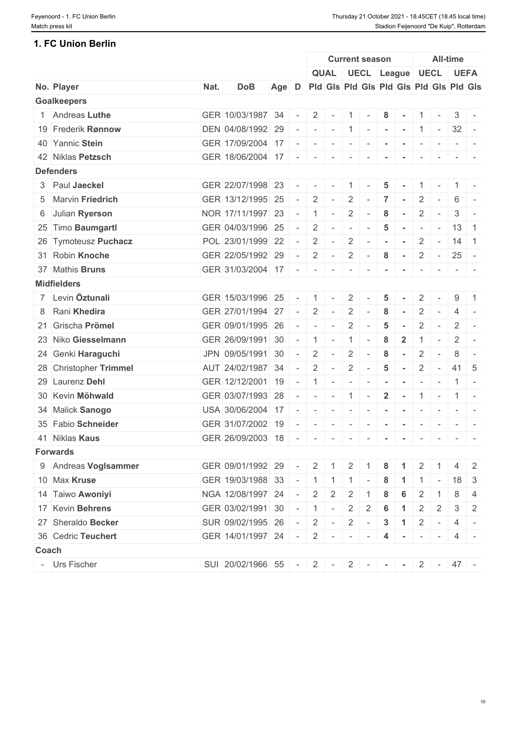# **1. FC Union Berlin**

|       |                        |      |                     |                                               |                          |                          |                          |                          | <b>Current season</b>    |                 |                            |                          |                          | <b>All-time</b> |                                                                                                                           |
|-------|------------------------|------|---------------------|-----------------------------------------------|--------------------------|--------------------------|--------------------------|--------------------------|--------------------------|-----------------|----------------------------|--------------------------|--------------------------|-----------------|---------------------------------------------------------------------------------------------------------------------------|
|       |                        |      |                     |                                               |                          |                          |                          |                          |                          |                 | QUAL UECL League UECL UEFA |                          |                          |                 |                                                                                                                           |
|       | No. Player             | Nat. | <b>DoB</b>          | Age D Pid Gis Pid Gis Pid Gis Pid Gis Pid Gis |                          |                          |                          |                          |                          |                 |                            |                          |                          |                 |                                                                                                                           |
|       | <b>Goalkeepers</b>     |      |                     |                                               |                          |                          |                          |                          |                          |                 |                            |                          |                          |                 |                                                                                                                           |
|       | 1 Andreas Luthe        |      | GER 10/03/1987 34   |                                               |                          | $\overline{2}$           | $\sim$                   | $\overline{1}$           | $\sim$                   | 8               | $\sim$                     |                          | $1 \quad -$              | 3               |                                                                                                                           |
|       | 19 Frederik Rønnow     |      | DEN 04/08/1992 29   |                                               |                          | $\sim$                   |                          |                          |                          |                 | $-11 - - - -$              |                          | $1 \quad - \quad$        | $32 -$          |                                                                                                                           |
|       | 40 Yannic Stein        |      | GER 17/09/2004 17   |                                               |                          | $\sim$                   | $\sim$                   | $\sim$                   |                          |                 |                            |                          |                          |                 |                                                                                                                           |
|       | 42 Niklas Petzsch      |      | GER 18/06/2004 17   |                                               | $\sim$                   | $\sim$                   | $\sim$                   | $\overline{\phantom{a}}$ |                          |                 |                            |                          |                          |                 |                                                                                                                           |
|       | <b>Defenders</b>       |      |                     |                                               |                          |                          |                          |                          |                          |                 |                            |                          |                          |                 |                                                                                                                           |
|       | 3 Paul Jaeckel         |      | GER 22/07/1998 23   |                                               |                          |                          |                          |                          |                          | 5               |                            |                          |                          |                 |                                                                                                                           |
|       | 5 Marvin Friedrich     |      | GER 13/12/1995 25   |                                               | $\sim$                   | $\overline{2}$           | $\sim$                   | $\overline{2}$           | $\sim$                   | $\overline{7}$  | $\sim$                     | $\mathbf{2}^{\prime}$    | $\overline{\phantom{a}}$ | 6               |                                                                                                                           |
|       | 6 Julian Ryerson       |      | NOR 17/11/1997 23   |                                               |                          | $\overline{1}$           | $\sim$                   | $\overline{2}$           | $\sim$                   | 8               | $\sim$                     | $\overline{2}$           | $\sim$                   | 3               | $\sim$                                                                                                                    |
|       | 25 Timo Baumgartl      |      | GER 04/03/1996 25   |                                               |                          | 2                        | $\sim$                   | $\sim$                   | $\sim$                   | 5               |                            | $\overline{\phantom{a}}$ | $\sim$                   | $13 \mid 1$     |                                                                                                                           |
|       | 26 Tymoteusz Puchacz   |      | POL 23/01/1999 22   |                                               | $\sim$                   | $\overline{2}$           | $\sim$                   | $\overline{2}$           | $\sim$                   |                 |                            | $\mathbf{2}^{\prime}$    | $\sim$                   | 14              | $\overline{1}$                                                                                                            |
|       | 31 Robin Knoche        |      | GER 22/05/1992 29   |                                               |                          | 2                        | $\sim$                   | $\overline{2}$           | $\sim$                   | 8               | $\sim$                     | $\overline{2}$           | $\sim$ $ \sim$           | 25              | $\sim$                                                                                                                    |
|       | 37 Mathis Bruns        |      | GER 31/03/2004 17   |                                               | $\overline{\phantom{a}}$ | $\sim$                   | $\sim$                   | $\sim$                   | $\sim$                   |                 | $\sim$                     | $\overline{\phantom{a}}$ | $\sim$                   |                 |                                                                                                                           |
|       | <b>Midfielders</b>     |      |                     |                                               |                          |                          |                          |                          |                          |                 |                            |                          |                          |                 |                                                                                                                           |
|       | 7 Levin Öztunali       |      | GER 15/03/1996 25   |                                               | $\sim$                   | $\overline{1}$           | $\overline{\phantom{a}}$ | $\overline{2}$           |                          | 5               |                            | 2                        |                          | 9               |                                                                                                                           |
|       | 8 Rani Khedira         |      | GER 27/01/1994 27   |                                               |                          | $\overline{2}$           | $\sim$                   | $\overline{2}$           |                          | 8               |                            | $\overline{2}$           |                          |                 |                                                                                                                           |
|       | 21 Grischa Prömel      |      | GER 09/01/1995 26   |                                               |                          | $\sim$                   | $\sim$                   | $\overline{2}$           | $\sim$                   | 5               |                            | $\overline{2}$           | $\overline{\phantom{a}}$ | $\overline{2}$  | $\sim$                                                                                                                    |
|       | 23 Niko Giesselmann    |      | GER 26/09/1991 30   |                                               | $\overline{\phantom{a}}$ | $\overline{1}$           | $\sim$                   | $\mathbf{1}$             | $\overline{\phantom{a}}$ | 8               | $\overline{2}$             |                          | $\overline{\phantom{a}}$ | $\overline{2}$  |                                                                                                                           |
|       | 24 Genki Haraguchi     |      | JPN 09/05/1991 30   |                                               |                          | 2                        | $\sim$                   | $\overline{2}$           |                          | 8               |                            | $\overline{2}$           | $\overline{\phantom{a}}$ | 8               | $\sim$                                                                                                                    |
|       | 28 Christopher Trimmel |      | AUT 24/02/1987 34   |                                               | $\equiv$                 | 2                        | $\omega$                 | $\overline{2}$           | $\sim$                   | $\overline{5}$  | $\sim$                     | $\overline{2}$           | $\sim$                   | $41 \mid 5$     |                                                                                                                           |
|       | 29 Laurenz Dehl        |      | GER 12/12/2001 19   |                                               |                          | $\mathbf{1}$             | $\overline{\phantom{a}}$ | $\sim$                   |                          |                 |                            |                          |                          |                 |                                                                                                                           |
|       | 30 Kevin Möhwald       |      | GER 03/07/1993 28   |                                               |                          | $\sim$                   | $\sim$                   | $\vert 1 \vert$          | $\sim$                   | $\mathbf{2}$    | $\sim$                     |                          | $1 -$                    |                 | $1 -$                                                                                                                     |
|       | 34 Malick Sanogo       |      | USA 30/06/2004 17   |                                               |                          | $\overline{\phantom{a}}$ | $\sim$                   | $\sim$                   | $\sim$                   |                 | $\sim$                     | $\overline{\phantom{a}}$ | $\sim$                   |                 |                                                                                                                           |
|       | 35 Fabio Schneider     |      | GER 31/07/2002 19   |                                               |                          | $\overline{\phantom{a}}$ |                          | $\overline{\phantom{a}}$ |                          |                 |                            |                          |                          |                 |                                                                                                                           |
|       | 41 Niklas Kaus         |      | GER 26/09/2003 18   |                                               |                          | $\sim$                   | $\sim$                   | $\sim$                   | $\sim$                   | $\sim$          | $\sim$                     | $\sim$                   | $\sim$                   |                 | $\frac{1}{2} \left( \frac{1}{2} \right) \left( \frac{1}{2} \right) \left( \frac{1}{2} \right) \left( \frac{1}{2} \right)$ |
|       | <b>Forwards</b>        |      |                     |                                               |                          |                          |                          |                          |                          |                 |                            |                          |                          |                 |                                                                                                                           |
|       | 9 Andreas Voglsammer   |      | GER 09/01/1992 29   |                                               | $\sim$                   | $\overline{2}$           | -1                       | 2                        |                          | 8               |                            | $\overline{2}$           |                          | $\overline{4}$  | 2                                                                                                                         |
|       | 10 Max Kruse           |      | GER 19/03/1988 33   |                                               |                          | $-1$ 1 1 1               |                          |                          | $\sim$                   | 8               | $\overline{1}$             |                          | $1$ -                    | 18              | $\mathbf{3}$                                                                                                              |
|       | 14 Taiwo Awoniyi       |      | NGA 12/08/1997 24   |                                               |                          | 2                        | $\overline{2}$           | $\overline{2}$           |                          | 8               | 6                          | $\overline{2}$           |                          | 8               | $\overline{4}$                                                                                                            |
|       | 17 Kevin Behrens       |      | GER 03/02/1991 30   |                                               | $\equiv$                 | $\overline{1}$           | $\sim$                   | $\overline{2}$           | $\overline{2}$           | $6\phantom{1}6$ | -1                         | $\overline{2}$           | 2                        | 3               | 2                                                                                                                         |
|       | 27 Sheraldo Becker     |      | SUR 09/02/1995 26   |                                               | $\sim$                   | $\overline{2}$           | $\sim$                   | $\overline{2}$           | $\sim$                   | $\mathbf{3}$    | $\overline{1}$             | $\overline{2}$           | $\sim$                   | 4               |                                                                                                                           |
|       | 36 Cedric Teuchert     |      | GER 14/01/1997 24 - |                                               |                          | $2$ -                    |                          | $\mathbb{R}^n$           |                          | 4               |                            | $\sim$                   |                          | 4               |                                                                                                                           |
| Coach |                        |      |                     |                                               |                          |                          |                          |                          |                          |                 |                            |                          |                          |                 |                                                                                                                           |
|       | - Urs Fischer          |      | SUI 20/02/1966 55   |                                               |                          |                          |                          |                          | $2 - 1$                  |                 |                            |                          | $2$ -                    | $47 -$          |                                                                                                                           |
|       |                        |      |                     |                                               |                          | $-2$ $-$                 |                          |                          |                          |                 | $\sim$                     |                          |                          |                 |                                                                                                                           |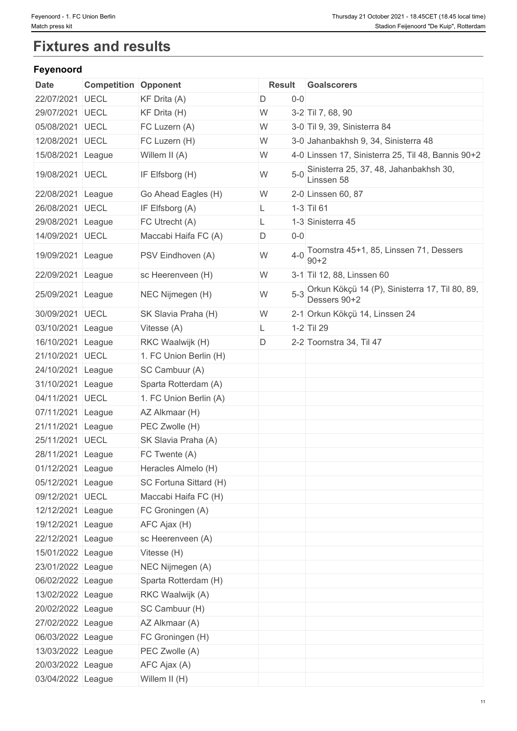# **Fixtures and results**

# **Feyenoord**

| 22/07/2021 UECL<br>KF Drita (A)<br>$0 - 0$<br>D<br>KF Drita (H)<br>W<br>3-2 Til 7, 68, 90<br>29/07/2021<br><b>UECL</b><br>05/08/2021 UECL<br>FC Luzern (A)<br>W<br>3-0 Til 9, 39, Sinisterra 84<br>12/08/2021 UECL<br>FC Luzern (H)<br>W<br>3-0 Jahanbakhsh 9, 34, Sinisterra 48<br>W<br>15/08/2021 League<br>Willem II (A)<br>4-0 Linssen 17, Sinisterra 25, Til 48, Bannis 90+2<br>$5-0$ Sinisterra 25, 37, 48, Jahanbakhsh 30,<br>W<br>19/08/2021 UECL<br>IF Elfsborg (H)<br>Linssen 58<br>22/08/2021 League<br>Go Ahead Eagles (H)<br>W<br>2-0 Linssen 60, 87<br>1-3 Til 61<br>26/08/2021 UECL<br>IF Elfsborg (A)<br>L.<br>FC Utrecht (A)<br>1-3 Sinisterra 45<br>29/08/2021 League<br>L.<br>14/09/2021 UECL<br>$0-0$<br>Maccabi Haifa FC (A)<br>D<br>Toornstra 45+1, 85, Linssen 71, Dessers<br>$4 - 0$<br>W<br>19/09/2021 League<br>PSV Eindhoven (A)<br>$90 + 2$<br>W<br>22/09/2021 League<br>sc Heerenveen (H)<br>3-1 Til 12, 88, Linssen 60<br>5-3 Orkun Kökçü 14 (P), Sinisterra 17, Til 80, 89,<br>W<br>25/09/2021 League<br>NEC Nijmegen (H)<br>Dessers 90+2<br>30/09/2021 UECL<br>SK Slavia Praha (H)<br>2-1 Orkun Kökçü 14, Linssen 24<br>W<br>1-2 Til 29<br>03/10/2021 League<br>Vitesse (A)<br>L.<br>D<br>16/10/2021 League<br>RKC Waalwijk (H)<br>2-2 Toornstra 34, Til 47<br>21/10/2021 UECL<br>1. FC Union Berlin (H)<br>SC Cambuur (A)<br>24/10/2021 League<br>31/10/2021 League<br>Sparta Rotterdam (A)<br>04/11/2021 UECL<br>1. FC Union Berlin (A)<br>07/11/2021 League<br>AZ Alkmaar (H)<br>21/11/2021 League<br>PEC Zwolle (H)<br>25/11/2021 UECL<br>SK Slavia Praha (A)<br>28/11/2021 League<br>FC Twente (A)<br>01/12/2021 League<br>Heracles Almelo (H)<br>05/12/2021 League<br>SC Fortuna Sittard (H)<br>09/12/2021 UECL<br>Maccabi Haifa FC (H)<br>12/12/2021 League<br>FC Groningen (A)<br>19/12/2021 League<br>AFC Ajax (H)<br>22/12/2021 League<br>sc Heerenveen (A)<br>15/01/2022 League<br>Vitesse (H)<br>23/01/2022 League<br>NEC Nijmegen (A)<br>06/02/2022 League<br>Sparta Rotterdam (H) |
|---------------------------------------------------------------------------------------------------------------------------------------------------------------------------------------------------------------------------------------------------------------------------------------------------------------------------------------------------------------------------------------------------------------------------------------------------------------------------------------------------------------------------------------------------------------------------------------------------------------------------------------------------------------------------------------------------------------------------------------------------------------------------------------------------------------------------------------------------------------------------------------------------------------------------------------------------------------------------------------------------------------------------------------------------------------------------------------------------------------------------------------------------------------------------------------------------------------------------------------------------------------------------------------------------------------------------------------------------------------------------------------------------------------------------------------------------------------------------------------------------------------------------------------------------------------------------------------------------------------------------------------------------------------------------------------------------------------------------------------------------------------------------------------------------------------------------------------------------------------------------------------------------------------------------------------------------------------------------------------------------------------------------------|
|                                                                                                                                                                                                                                                                                                                                                                                                                                                                                                                                                                                                                                                                                                                                                                                                                                                                                                                                                                                                                                                                                                                                                                                                                                                                                                                                                                                                                                                                                                                                                                                                                                                                                                                                                                                                                                                                                                                                                                                                                                 |
|                                                                                                                                                                                                                                                                                                                                                                                                                                                                                                                                                                                                                                                                                                                                                                                                                                                                                                                                                                                                                                                                                                                                                                                                                                                                                                                                                                                                                                                                                                                                                                                                                                                                                                                                                                                                                                                                                                                                                                                                                                 |
|                                                                                                                                                                                                                                                                                                                                                                                                                                                                                                                                                                                                                                                                                                                                                                                                                                                                                                                                                                                                                                                                                                                                                                                                                                                                                                                                                                                                                                                                                                                                                                                                                                                                                                                                                                                                                                                                                                                                                                                                                                 |
|                                                                                                                                                                                                                                                                                                                                                                                                                                                                                                                                                                                                                                                                                                                                                                                                                                                                                                                                                                                                                                                                                                                                                                                                                                                                                                                                                                                                                                                                                                                                                                                                                                                                                                                                                                                                                                                                                                                                                                                                                                 |
|                                                                                                                                                                                                                                                                                                                                                                                                                                                                                                                                                                                                                                                                                                                                                                                                                                                                                                                                                                                                                                                                                                                                                                                                                                                                                                                                                                                                                                                                                                                                                                                                                                                                                                                                                                                                                                                                                                                                                                                                                                 |
|                                                                                                                                                                                                                                                                                                                                                                                                                                                                                                                                                                                                                                                                                                                                                                                                                                                                                                                                                                                                                                                                                                                                                                                                                                                                                                                                                                                                                                                                                                                                                                                                                                                                                                                                                                                                                                                                                                                                                                                                                                 |
|                                                                                                                                                                                                                                                                                                                                                                                                                                                                                                                                                                                                                                                                                                                                                                                                                                                                                                                                                                                                                                                                                                                                                                                                                                                                                                                                                                                                                                                                                                                                                                                                                                                                                                                                                                                                                                                                                                                                                                                                                                 |
|                                                                                                                                                                                                                                                                                                                                                                                                                                                                                                                                                                                                                                                                                                                                                                                                                                                                                                                                                                                                                                                                                                                                                                                                                                                                                                                                                                                                                                                                                                                                                                                                                                                                                                                                                                                                                                                                                                                                                                                                                                 |
|                                                                                                                                                                                                                                                                                                                                                                                                                                                                                                                                                                                                                                                                                                                                                                                                                                                                                                                                                                                                                                                                                                                                                                                                                                                                                                                                                                                                                                                                                                                                                                                                                                                                                                                                                                                                                                                                                                                                                                                                                                 |
|                                                                                                                                                                                                                                                                                                                                                                                                                                                                                                                                                                                                                                                                                                                                                                                                                                                                                                                                                                                                                                                                                                                                                                                                                                                                                                                                                                                                                                                                                                                                                                                                                                                                                                                                                                                                                                                                                                                                                                                                                                 |
|                                                                                                                                                                                                                                                                                                                                                                                                                                                                                                                                                                                                                                                                                                                                                                                                                                                                                                                                                                                                                                                                                                                                                                                                                                                                                                                                                                                                                                                                                                                                                                                                                                                                                                                                                                                                                                                                                                                                                                                                                                 |
|                                                                                                                                                                                                                                                                                                                                                                                                                                                                                                                                                                                                                                                                                                                                                                                                                                                                                                                                                                                                                                                                                                                                                                                                                                                                                                                                                                                                                                                                                                                                                                                                                                                                                                                                                                                                                                                                                                                                                                                                                                 |
|                                                                                                                                                                                                                                                                                                                                                                                                                                                                                                                                                                                                                                                                                                                                                                                                                                                                                                                                                                                                                                                                                                                                                                                                                                                                                                                                                                                                                                                                                                                                                                                                                                                                                                                                                                                                                                                                                                                                                                                                                                 |
|                                                                                                                                                                                                                                                                                                                                                                                                                                                                                                                                                                                                                                                                                                                                                                                                                                                                                                                                                                                                                                                                                                                                                                                                                                                                                                                                                                                                                                                                                                                                                                                                                                                                                                                                                                                                                                                                                                                                                                                                                                 |
|                                                                                                                                                                                                                                                                                                                                                                                                                                                                                                                                                                                                                                                                                                                                                                                                                                                                                                                                                                                                                                                                                                                                                                                                                                                                                                                                                                                                                                                                                                                                                                                                                                                                                                                                                                                                                                                                                                                                                                                                                                 |
|                                                                                                                                                                                                                                                                                                                                                                                                                                                                                                                                                                                                                                                                                                                                                                                                                                                                                                                                                                                                                                                                                                                                                                                                                                                                                                                                                                                                                                                                                                                                                                                                                                                                                                                                                                                                                                                                                                                                                                                                                                 |
|                                                                                                                                                                                                                                                                                                                                                                                                                                                                                                                                                                                                                                                                                                                                                                                                                                                                                                                                                                                                                                                                                                                                                                                                                                                                                                                                                                                                                                                                                                                                                                                                                                                                                                                                                                                                                                                                                                                                                                                                                                 |
|                                                                                                                                                                                                                                                                                                                                                                                                                                                                                                                                                                                                                                                                                                                                                                                                                                                                                                                                                                                                                                                                                                                                                                                                                                                                                                                                                                                                                                                                                                                                                                                                                                                                                                                                                                                                                                                                                                                                                                                                                                 |
|                                                                                                                                                                                                                                                                                                                                                                                                                                                                                                                                                                                                                                                                                                                                                                                                                                                                                                                                                                                                                                                                                                                                                                                                                                                                                                                                                                                                                                                                                                                                                                                                                                                                                                                                                                                                                                                                                                                                                                                                                                 |
|                                                                                                                                                                                                                                                                                                                                                                                                                                                                                                                                                                                                                                                                                                                                                                                                                                                                                                                                                                                                                                                                                                                                                                                                                                                                                                                                                                                                                                                                                                                                                                                                                                                                                                                                                                                                                                                                                                                                                                                                                                 |
|                                                                                                                                                                                                                                                                                                                                                                                                                                                                                                                                                                                                                                                                                                                                                                                                                                                                                                                                                                                                                                                                                                                                                                                                                                                                                                                                                                                                                                                                                                                                                                                                                                                                                                                                                                                                                                                                                                                                                                                                                                 |
|                                                                                                                                                                                                                                                                                                                                                                                                                                                                                                                                                                                                                                                                                                                                                                                                                                                                                                                                                                                                                                                                                                                                                                                                                                                                                                                                                                                                                                                                                                                                                                                                                                                                                                                                                                                                                                                                                                                                                                                                                                 |
|                                                                                                                                                                                                                                                                                                                                                                                                                                                                                                                                                                                                                                                                                                                                                                                                                                                                                                                                                                                                                                                                                                                                                                                                                                                                                                                                                                                                                                                                                                                                                                                                                                                                                                                                                                                                                                                                                                                                                                                                                                 |
|                                                                                                                                                                                                                                                                                                                                                                                                                                                                                                                                                                                                                                                                                                                                                                                                                                                                                                                                                                                                                                                                                                                                                                                                                                                                                                                                                                                                                                                                                                                                                                                                                                                                                                                                                                                                                                                                                                                                                                                                                                 |
|                                                                                                                                                                                                                                                                                                                                                                                                                                                                                                                                                                                                                                                                                                                                                                                                                                                                                                                                                                                                                                                                                                                                                                                                                                                                                                                                                                                                                                                                                                                                                                                                                                                                                                                                                                                                                                                                                                                                                                                                                                 |
|                                                                                                                                                                                                                                                                                                                                                                                                                                                                                                                                                                                                                                                                                                                                                                                                                                                                                                                                                                                                                                                                                                                                                                                                                                                                                                                                                                                                                                                                                                                                                                                                                                                                                                                                                                                                                                                                                                                                                                                                                                 |
|                                                                                                                                                                                                                                                                                                                                                                                                                                                                                                                                                                                                                                                                                                                                                                                                                                                                                                                                                                                                                                                                                                                                                                                                                                                                                                                                                                                                                                                                                                                                                                                                                                                                                                                                                                                                                                                                                                                                                                                                                                 |
|                                                                                                                                                                                                                                                                                                                                                                                                                                                                                                                                                                                                                                                                                                                                                                                                                                                                                                                                                                                                                                                                                                                                                                                                                                                                                                                                                                                                                                                                                                                                                                                                                                                                                                                                                                                                                                                                                                                                                                                                                                 |
|                                                                                                                                                                                                                                                                                                                                                                                                                                                                                                                                                                                                                                                                                                                                                                                                                                                                                                                                                                                                                                                                                                                                                                                                                                                                                                                                                                                                                                                                                                                                                                                                                                                                                                                                                                                                                                                                                                                                                                                                                                 |
|                                                                                                                                                                                                                                                                                                                                                                                                                                                                                                                                                                                                                                                                                                                                                                                                                                                                                                                                                                                                                                                                                                                                                                                                                                                                                                                                                                                                                                                                                                                                                                                                                                                                                                                                                                                                                                                                                                                                                                                                                                 |
|                                                                                                                                                                                                                                                                                                                                                                                                                                                                                                                                                                                                                                                                                                                                                                                                                                                                                                                                                                                                                                                                                                                                                                                                                                                                                                                                                                                                                                                                                                                                                                                                                                                                                                                                                                                                                                                                                                                                                                                                                                 |
|                                                                                                                                                                                                                                                                                                                                                                                                                                                                                                                                                                                                                                                                                                                                                                                                                                                                                                                                                                                                                                                                                                                                                                                                                                                                                                                                                                                                                                                                                                                                                                                                                                                                                                                                                                                                                                                                                                                                                                                                                                 |
|                                                                                                                                                                                                                                                                                                                                                                                                                                                                                                                                                                                                                                                                                                                                                                                                                                                                                                                                                                                                                                                                                                                                                                                                                                                                                                                                                                                                                                                                                                                                                                                                                                                                                                                                                                                                                                                                                                                                                                                                                                 |
| 13/02/2022 League<br>RKC Waalwijk (A)                                                                                                                                                                                                                                                                                                                                                                                                                                                                                                                                                                                                                                                                                                                                                                                                                                                                                                                                                                                                                                                                                                                                                                                                                                                                                                                                                                                                                                                                                                                                                                                                                                                                                                                                                                                                                                                                                                                                                                                           |
| 20/02/2022 League<br>SC Cambuur (H)                                                                                                                                                                                                                                                                                                                                                                                                                                                                                                                                                                                                                                                                                                                                                                                                                                                                                                                                                                                                                                                                                                                                                                                                                                                                                                                                                                                                                                                                                                                                                                                                                                                                                                                                                                                                                                                                                                                                                                                             |
| 27/02/2022 League<br>AZ Alkmaar (A)                                                                                                                                                                                                                                                                                                                                                                                                                                                                                                                                                                                                                                                                                                                                                                                                                                                                                                                                                                                                                                                                                                                                                                                                                                                                                                                                                                                                                                                                                                                                                                                                                                                                                                                                                                                                                                                                                                                                                                                             |
| 06/03/2022 League<br>FC Groningen (H)                                                                                                                                                                                                                                                                                                                                                                                                                                                                                                                                                                                                                                                                                                                                                                                                                                                                                                                                                                                                                                                                                                                                                                                                                                                                                                                                                                                                                                                                                                                                                                                                                                                                                                                                                                                                                                                                                                                                                                                           |
| 13/03/2022 League<br>PEC Zwolle (A)                                                                                                                                                                                                                                                                                                                                                                                                                                                                                                                                                                                                                                                                                                                                                                                                                                                                                                                                                                                                                                                                                                                                                                                                                                                                                                                                                                                                                                                                                                                                                                                                                                                                                                                                                                                                                                                                                                                                                                                             |
| 20/03/2022 League<br>AFC Ajax (A)                                                                                                                                                                                                                                                                                                                                                                                                                                                                                                                                                                                                                                                                                                                                                                                                                                                                                                                                                                                                                                                                                                                                                                                                                                                                                                                                                                                                                                                                                                                                                                                                                                                                                                                                                                                                                                                                                                                                                                                               |
| 03/04/2022 League<br>Willem II (H)                                                                                                                                                                                                                                                                                                                                                                                                                                                                                                                                                                                                                                                                                                                                                                                                                                                                                                                                                                                                                                                                                                                                                                                                                                                                                                                                                                                                                                                                                                                                                                                                                                                                                                                                                                                                                                                                                                                                                                                              |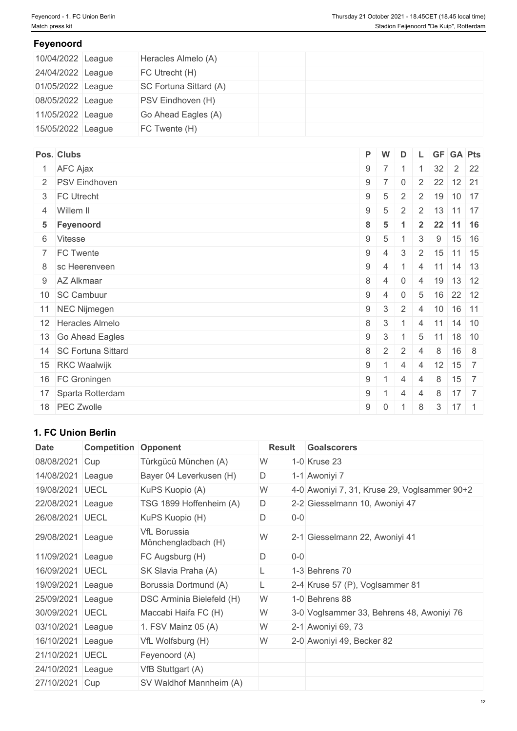# **Feyenoord**

| 10/04/2022 League | Heracles Almelo (A)    |  |  |
|-------------------|------------------------|--|--|
| 24/04/2022 League | FC Utrecht (H)         |  |  |
| 01/05/2022 League | SC Fortuna Sittard (A) |  |  |
| 08/05/2022 League | PSV Eindhoven (H)      |  |  |
| 11/05/2022 League | Go Ahead Eagles (A)    |  |  |
| 15/05/2022 League | FC Twente (H)          |  |  |

| Pos. Clubs              |            | P W             | D              |                 |    | L GF GA Pts                      |  |
|-------------------------|------------|-----------------|----------------|-----------------|----|----------------------------------|--|
| 1 AFC Ajax              |            | $9 \mid 7 \mid$ |                |                 | 32 | $2 \overline{22}$                |  |
| 2 PSV Eindhoven         | $9 \mid 7$ |                 | $\overline{0}$ | $\overline{2}$  |    | $22$ 12 21                       |  |
| 3 FC Utrecht            | $9 \mid 5$ |                 | $\overline{2}$ |                 |    | 2   19   10   17                 |  |
| 4 Willem II             | 9          | $5\overline{5}$ | 2              |                 |    | $2 \mid 13 \mid 11 \mid 17$      |  |
| 5 Feyenoord             | 8          | - 5             |                | $\overline{2}$  |    | 22 11 16                         |  |
| 6 Vitesse               | 9          | -5              |                | 3               | 9  | $15$ 16                          |  |
| 7 FC Twente             | $9 \mid 4$ |                 | 3              |                 |    | $2 \mid 15 \mid 11 \mid 15$      |  |
| 8 sc Heerenveen         | $9 \mid 4$ |                 |                | $\overline{4}$  |    | $11$ 14 13                       |  |
| 9 AZ Alkmaar            | 8          | -4              | 0              | $\overline{4}$  | 19 | 13 12                            |  |
| 10 SC Cambuur           | 9          | $\overline{4}$  | $\mathbf 0$    | 5               |    | $16$ 22 12                       |  |
| 11 NEC Nijmegen         | 9          | $\mathbf{3}$    | 2              | $\overline{4}$  |    | $10$ 16 11                       |  |
| 12 Heracles Almelo      | $8 \mid 3$ |                 |                | 4               |    | $11$ 14 10                       |  |
| 13 Go Ahead Eagles      | $9 \mid 3$ |                 |                | $5\phantom{.0}$ | 11 | 18 10                            |  |
| 14   SC Fortuna Sittard | 8          | 2               | 2              | $\overline{4}$  | 8  | $16 \quad 8$                     |  |
| 15 RKC Waalwijk         | 9          |                 | $\overline{4}$ | $\overline{4}$  | 12 | $15 \overline{\smash{\big)}\ 7}$ |  |
| 16 FC Groningen         | 9          |                 | $\overline{4}$ | $\overline{4}$  | 8  | $15 \mid 7$                      |  |
| 17 Sparta Rotterdam     | 9          |                 | $\overline{4}$ | $\overline{4}$  | 8  | $17 \overline{7}$                |  |
| 18 PEC Zwolle           | $9 \mid 0$ |                 |                | 8               | 3  | $17 \quad 1$                     |  |

# **1. FC Union Berlin**

| Date              | <b>Competition</b> | Opponent                                   | Result               | <b>Goalscorers</b>                           |
|-------------------|--------------------|--------------------------------------------|----------------------|----------------------------------------------|
| 08/08/2021        | Cup                | Türkgücü München (A)                       | W                    | 1-0 Kruse 23                                 |
| 14/08/2021        | League             | Bayer 04 Leverkusen (H)                    | D                    | 1-1 Awoniyi 7                                |
| 19/08/2021        | <b>UECL</b>        | KuPS Kuopio (A)                            | W                    | 4-0 Awoniyi 7, 31, Kruse 29, Voglsammer 90+2 |
| 22/08/2021        | League             | TSG 1899 Hoffenheim (A)                    | D                    | 2-2 Giesselmann 10, Awoniyi 47               |
| 26/08/2021 UECL   |                    | KuPS Kuopio (H)                            | D<br>$0-0$           |                                              |
| 29/08/2021 League |                    | <b>VfL Borussia</b><br>Mönchengladbach (H) | W                    | 2-1 Giesselmann 22, Awoniyi 41               |
| 11/09/2021 League |                    | FC Augsburg (H)                            | $\mathsf D$<br>$0-0$ |                                              |
| 16/09/2021        | <b>UECL</b>        | SK Slavia Praha (A)                        |                      | 1-3 Behrens 70                               |
| 19/09/2021 League |                    | Borussia Dortmund (A)                      | L.                   | 2-4 Kruse 57 (P), Voglsammer 81              |
| 25/09/2021 League |                    | DSC Arminia Bielefeld (H)                  | W                    | 1-0 Behrens 88                               |
| 30/09/2021 UECL   |                    | Maccabi Haifa FC (H)                       | W                    | 3-0 Voglsammer 33, Behrens 48, Awoniyi 76    |
| 03/10/2021 League |                    | 1. FSV Mainz 05 (A)                        | W                    | 2-1 Awoniyi 69, 73                           |
| 16/10/2021 League |                    | VfL Wolfsburg (H)                          | W                    | 2-0 Awoniyi 49, Becker 82                    |
| 21/10/2021        | <b>UECL</b>        | Feyenoord (A)                              |                      |                                              |
| 24/10/2021 League |                    | VfB Stuttgart (A)                          |                      |                                              |
| 27/10/2021 Cup    |                    | SV Waldhof Mannheim (A)                    |                      |                                              |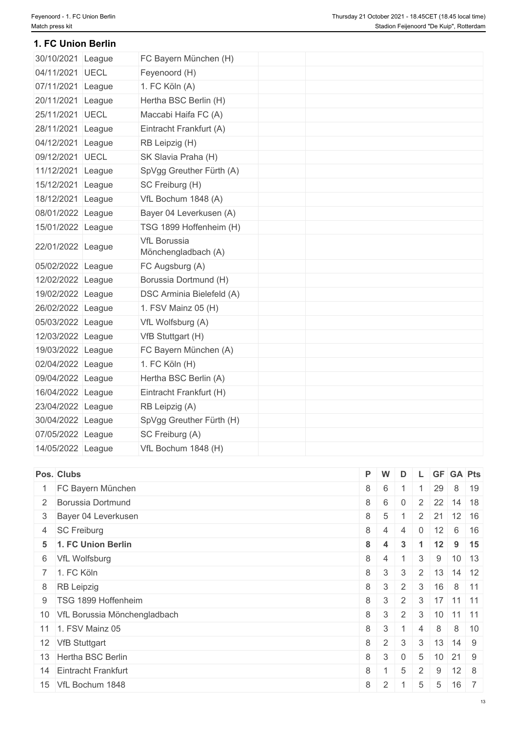### **1. FC Union Berlin**

| 30/10/2021 League |        | FC Bayern München (H)                      |
|-------------------|--------|--------------------------------------------|
| 04/11/2021 UECL   |        | Feyenoord (H)                              |
| 07/11/2021 League |        | 1. FC Köln (A)                             |
| 20/11/2021 League |        | Hertha BSC Berlin (H)                      |
| 25/11/2021 UECL   |        | Maccabi Haifa FC (A)                       |
| 28/11/2021        | League | Eintracht Frankfurt (A)                    |
| 04/12/2021 League |        | RB Leipzig (H)                             |
| 09/12/2021 UECL   |        | SK Slavia Praha (H)                        |
| 11/12/2021 League |        | SpVgg Greuther Fürth (A)                   |
| 15/12/2021 League |        | SC Freiburg (H)                            |
| 18/12/2021 League |        | VfL Bochum 1848 (A)                        |
| 08/01/2022 League |        | Bayer 04 Leverkusen (A)                    |
| 15/01/2022 League |        | TSG 1899 Hoffenheim (H)                    |
| 22/01/2022 League |        | <b>VfL Borussia</b><br>Mönchengladbach (A) |
| 05/02/2022 League |        | FC Augsburg (A)                            |
| 12/02/2022 League |        | Borussia Dortmund (H)                      |
| 19/02/2022 League |        | DSC Arminia Bielefeld (A)                  |
| 26/02/2022 League |        | 1. FSV Mainz 05 (H)                        |
| 05/03/2022 League |        | VfL Wolfsburg (A)                          |
| 12/03/2022 League |        | VfB Stuttgart (H)                          |
| 19/03/2022 League |        | FC Bayern München (A)                      |
| 02/04/2022 League |        | 1. FC Köln (H)                             |
| 09/04/2022 League |        | Hertha BSC Berlin (A)                      |
| 16/04/2022 League |        | Eintracht Frankfurt (H)                    |
| 23/04/2022 League |        | RB Leipzig (A)                             |
| 30/04/2022 League |        | SpVgg Greuther Fürth (H)                   |
| 07/05/2022 League |        | SC Freiburg (A)                            |
| 14/05/2022 League |        | VfL Bochum 1848 (H)                        |

| Pos. Clubs                      |                | P W          | D              |                 |                  | L GF GA Pts                    |             |
|---------------------------------|----------------|--------------|----------------|-----------------|------------------|--------------------------------|-------------|
| 1 FC Bayern München             | $8 \mid 6$     |              |                |                 | 29               |                                | 8 19        |
| 2 Borussia Dortmund             | $8 \mid 6$     |              | $\overline{0}$ |                 |                  | $2 \quad 22 \quad 14 \quad 18$ |             |
| 3 Bayer 04 Leverkusen           | $8 \mid 5$     |              |                |                 | $2 \mid 21 \mid$ | $12 \mid 16$                   |             |
| 4 SC Freiburg                   | $8 \mid 4$     |              | 4              | $\overline{0}$  | 12               | $6 \mid 16$                    |             |
| 5 1. FC Union Berlin            | $8 \mid 4$     |              | $\mathbf{3}$   |                 | 12               |                                | $9 \mid 15$ |
| 6 VfL Wolfsburg                 | $8 \mid 4$     |              |                | $\mathbf{3}$    | 9                | $10$ 13                        |             |
| 7 1. FC Köln                    | $8 \mid 3$     |              | 3              |                 |                  | $2 \mid 13 \mid 14 \mid 12$    |             |
| 8 RB Leipzig                    | $8 \mid 3$     |              | $2^{\circ}$    |                 |                  | $3 \mid 16 \mid 8 \mid 11$     |             |
| 9   TSG 1899 Hoffenheim         | 8 <sup>1</sup> | $\mathbf{3}$ | 2              | 3               |                  | $17$ 11 11                     |             |
| 10 VfL Borussia Mönchengladbach | $8 \mid 3$     |              | 2              | 3               |                  | $10$ 11 11                     |             |
| 11 1. FSV Mainz 05              | $8 \mid 3$     |              |                | $\overline{4}$  | 8                |                                | 8 10        |
| 12 VfB Stuttgart                | $8 \mid 2$     |              | $\mathbf{3}$   | $\mathbf{3}$    |                  | $13$ 14 9                      |             |
| 13 Hertha BSC Berlin            |                | $8 \mid 3$   | $\Omega$       | 5               | 10               | 21 9                           |             |
| 14 Eintracht Frankfurt          | 8              |              | 5              | $\overline{2}$  | 9                | $12 \quad 8$                   |             |
| 15 VfL Bochum 1848              | 8              | $\sqrt{2}$   |                | $5\overline{)}$ | $5\phantom{.0}$  | 16 7                           |             |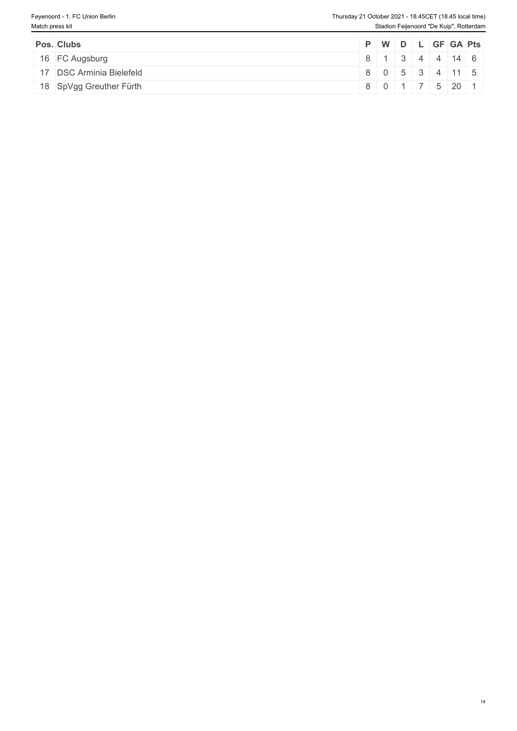| Pos. Clubs               |  |  |            | P   W   D   L   GF   GA   Pts |
|--------------------------|--|--|------------|-------------------------------|
| 16 FC Augsburg           |  |  |            | 8 1 3 4 4 14 6                |
| 17 DSC Arminia Bielefeld |  |  |            | 8 0 5 3 4 11 5                |
| 18 SpVgg Greuther Fürth  |  |  | 8011752011 |                               |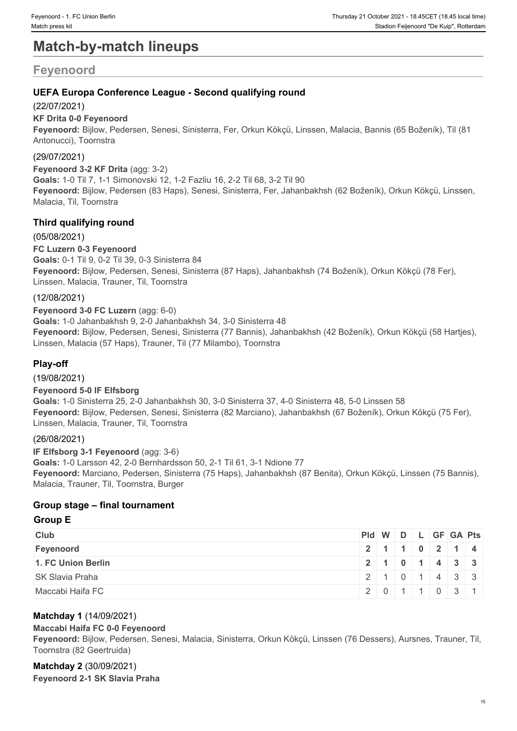# **Match-by-match lineups**

# **Feyenoord**

# **UEFA Europa Conference League - Second qualifying round**

# (22/07/2021)

### **KF Drita 0-0 Feyenoord**

**Feyenoord:** Bijlow, Pedersen, Senesi, Sinisterra, Fer, Orkun Kökçü, Linssen, Malacia, Bannis (65 Boženík), Til (81 Antonucci), Toornstra

# (29/07/2021)

**Feyenoord 3-2 KF Drita** (agg: 3-2) **Goals:** 1-0 Til 7, 1-1 Simonovski 12, 1-2 Fazliu 16, 2-2 Til 68, 3-2 Til 90 **Feyenoord:** Bijlow, Pedersen (83 Haps), Senesi, Sinisterra, Fer, Jahanbakhsh (62 Boženík), Orkun Kökçü, Linssen, Malacia, Til, Toornstra

# **Third qualifying round**

(05/08/2021) **FC Luzern 0-3 Feyenoord Goals:** 0-1 Til 9, 0-2 Til 39, 0-3 Sinisterra 84 **Feyenoord:** Bijlow, Pedersen, Senesi, Sinisterra (87 Haps), Jahanbakhsh (74 Boženík), Orkun Kökçü (78 Fer), Linssen, Malacia, Trauner, Til, Toornstra

# (12/08/2021)

**Feyenoord 3-0 FC Luzern** (agg: 6-0) **Goals:** 1-0 Jahanbakhsh 9, 2-0 Jahanbakhsh 34, 3-0 Sinisterra 48 **Feyenoord:** Bijlow, Pedersen, Senesi, Sinisterra (77 Bannis), Jahanbakhsh (42 Boženík), Orkun Kökçü (58 Hartjes), Linssen, Malacia (57 Haps), Trauner, Til (77 Milambo), Toornstra

# **Play-off**

(19/08/2021)

# **Feyenoord 5-0 IF Elfsborg**

**Goals:** 1-0 Sinisterra 25, 2-0 Jahanbakhsh 30, 3-0 Sinisterra 37, 4-0 Sinisterra 48, 5-0 Linssen 58 **Feyenoord:** Bijlow, Pedersen, Senesi, Sinisterra (82 Marciano), Jahanbakhsh (67 Boženík), Orkun Kökçü (75 Fer), Linssen, Malacia, Trauner, Til, Toornstra

# (26/08/2021)

**IF Elfsborg 3-1 Feyenoord** (agg: 3-6) **Goals:** 1-0 Larsson 42, 2-0 Bernhardsson 50, 2-1 Til 61, 3-1 Ndione 77 **Feyenoord:** Marciano, Pedersen, Sinisterra (75 Haps), Jahanbakhsh (87 Benita), Orkun Kökçü, Linssen (75 Bannis), Malacia, Trauner, Til, Toornstra, Burger

# **Group stage – final tournament**

### **Group E**

| <b>Club</b>            | Pid W D L GF GA Pts |                           |  |  |  |
|------------------------|---------------------|---------------------------|--|--|--|
| Feyenoord              |                     | 2 1 1 0 2 1 4             |  |  |  |
| 1. FC Union Berlin     |                     | 2   1   0   1   4   3   3 |  |  |  |
| <b>SK Slavia Praha</b> | 12101433            |                           |  |  |  |
| Maccabi Haifa FC       |                     | 2011031                   |  |  |  |

# **Matchday 1** (14/09/2021)

#### **Maccabi Haifa FC 0-0 Feyenoord**

**Feyenoord:** Bijlow, Pedersen, Senesi, Malacia, Sinisterra, Orkun Kökçü, Linssen (76 Dessers), Aursnes, Trauner, Til, Toornstra (82 Geertruida)

#### **Matchday 2** (30/09/2021) **Feyenoord 2-1 SK Slavia Praha**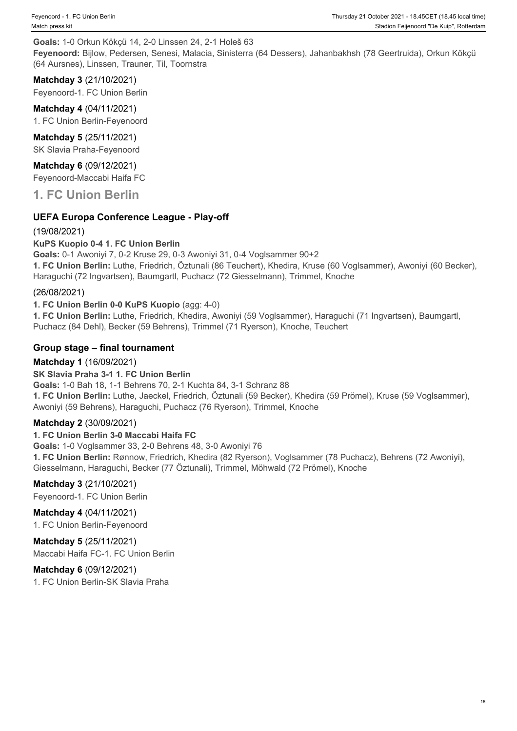# **Goals:** 1-0 Orkun Kökçü 14, 2-0 Linssen 24, 2-1 Holeš 63

**Feyenoord:** Bijlow, Pedersen, Senesi, Malacia, Sinisterra (64 Dessers), Jahanbakhsh (78 Geertruida), Orkun Kökçü (64 Aursnes), Linssen, Trauner, Til, Toornstra

# **Matchday 3** (21/10/2021)

Feyenoord-1. FC Union Berlin

#### **Matchday 4** (04/11/2021) 1. FC Union Berlin-Feyenoord

**Matchday 5** (25/11/2021) SK Slavia Praha-Feyenoord

**Matchday 6** (09/12/2021) Feyenoord-Maccabi Haifa FC

**1. FC Union Berlin**

# **UEFA Europa Conference League - Play-off**

# (19/08/2021)

# **KuPS Kuopio 0-4 1. FC Union Berlin**

**Goals:** 0-1 Awoniyi 7, 0-2 Kruse 29, 0-3 Awoniyi 31, 0-4 Voglsammer 90+2

**1. FC Union Berlin:** Luthe, Friedrich, Öztunali (86 Teuchert), Khedira, Kruse (60 Voglsammer), Awoniyi (60 Becker), Haraguchi (72 Ingvartsen), Baumgartl, Puchacz (72 Giesselmann), Trimmel, Knoche

# (26/08/2021)

# **1. FC Union Berlin 0-0 KuPS Kuopio** (agg: 4-0)

**1. FC Union Berlin:** Luthe, Friedrich, Khedira, Awoniyi (59 Voglsammer), Haraguchi (71 Ingvartsen), Baumgartl, Puchacz (84 Dehl), Becker (59 Behrens), Trimmel (71 Ryerson), Knoche, Teuchert

# **Group stage – final tournament**

# **Matchday 1** (16/09/2021)

# **SK Slavia Praha 3-1 1. FC Union Berlin**

**Goals:** 1-0 Bah 18, 1-1 Behrens 70, 2-1 Kuchta 84, 3-1 Schranz 88 **1. FC Union Berlin:** Luthe, Jaeckel, Friedrich, Öztunali (59 Becker), Khedira (59 Prömel), Kruse (59 Voglsammer), Awoniyi (59 Behrens), Haraguchi, Puchacz (76 Ryerson), Trimmel, Knoche

# **Matchday 2** (30/09/2021)

# **1. FC Union Berlin 3-0 Maccabi Haifa FC**

**Goals:** 1-0 Voglsammer 33, 2-0 Behrens 48, 3-0 Awoniyi 76 **1. FC Union Berlin:** Rønnow, Friedrich, Khedira (82 Ryerson), Voglsammer (78 Puchacz), Behrens (72 Awoniyi), Giesselmann, Haraguchi, Becker (77 Öztunali), Trimmel, Möhwald (72 Prömel), Knoche

# **Matchday 3** (21/10/2021)

Feyenoord-1. FC Union Berlin

# **Matchday 4** (04/11/2021)

1. FC Union Berlin-Feyenoord

# **Matchday 5** (25/11/2021)

Maccabi Haifa FC-1. FC Union Berlin

# **Matchday 6** (09/12/2021)

1. FC Union Berlin-SK Slavia Praha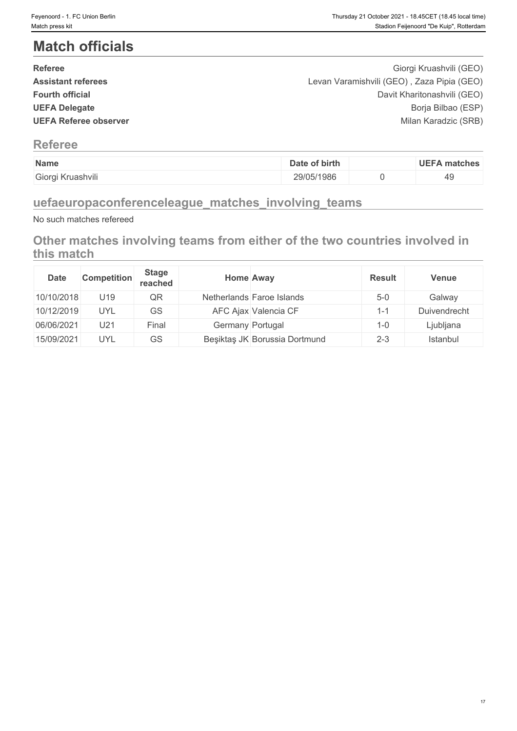# **Match officials**

| <b>Referee</b>               | Giorgi Kruashvili (GEO)                    |  |
|------------------------------|--------------------------------------------|--|
| <b>Assistant referees</b>    | Levan Varamishvili (GEO), Zaza Pipia (GEO) |  |
| <b>Fourth official</b>       | Davit Kharitonashvili (GEO)                |  |
| <b>UEFA Delegate</b>         | Borja Bilbao (ESP)                         |  |
| <b>UEFA Referee observer</b> | Milan Karadzic (SRB)                       |  |
|                              |                                            |  |

# **Referee**

| Name              | Date of birth | <b>UEFA matches</b> |
|-------------------|---------------|---------------------|
| Giorgi Kruashvili | 29/05/1986    | 49                  |

# **uefaeuropaconferenceleague\_matches\_involving\_teams**

No such matches refereed

# **Other matches involving teams from either of the two countries involved in this match**

| <b>Date</b> | <b>Competition</b> | <b>Stage</b><br>reached | <b>Home Away</b> |                               | <b>Result</b>  | <b>Venue</b> |
|-------------|--------------------|-------------------------|------------------|-------------------------------|----------------|--------------|
| 10/10/2018  | U19                | QR                      |                  | Netherlands Faroe Islands     | $5-0$          | Galway       |
| 10/12/2019  | UYL                | GS                      |                  | AFC Ajax Valencia CF          | $\overline{ }$ | Duivendrecht |
| 06/06/2021  | U21                | Final                   | Germany Portugal |                               | 1-0            | Ljubljana    |
| 15/09/2021  | <b>UYL</b>         | GS                      |                  | Beşiktaş JK Borussia Dortmund | $2 - 3$        | Istanbul     |